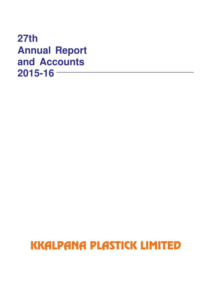**27th Annual Report and Accounts 2015-16**

# **KKALPANA PLASTICK LIMITED**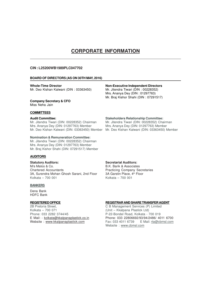# **CORPORATE INFORMATION**

#### **CIN : L25200WB1989PLC047702**

#### **BOARD OF DIRECTORS (AS ON 30TH MAY, 2016)**

Mr. Deo Kishan Kalwani (DIN : 03363450) Mr. Jitendra Tiwari (DIN : 00228352)

#### **Company Secretary & CFO**

Miss Neha Jain

#### **COMMITTEES**

Mrs. Ananya Dey (DIN: 01297763) Member Mrs. Ananya Dey (DIN: 01297763) Member Mr. Deo Kishan Kalwani (DIN: 03363450) Member Mr. Deo Kishan Kalwani (DIN: 03363450) Member

#### **Nomination & Remuneration Committee:**

Mr. Jitendra Tiwari (DIN: 00228352) Chairman Mrs. Ananya Dey (DIN: 01297763) Member Mr. Braj Kishor Shahi (DIN: 07291517) Member

#### **AUDITORS**

#### **Statutory Auditors: Secretarial Auditors:**

M/s Maloo & Co. **B.K. Barik & Associates** Chartered Accountants **Practicing Company Secretaries** 3A, Surendra Mohan Ghosh Sarani, 2nd Floor 3A Garstin Place, 4<sup>th</sup> Floor Kolkata – 700 001 Kolkata – 700 001

#### **BANKERS**

Dena Bank HDFC Bank

Kolkata – 700 071 (Unit – Kkalpana Plastick Ltd) Phone: 033 2282 3744/45 <br>
E Mail: - kolkata@kkalpanaplastick.co.in Phone: 033 22806692/93/94/2486/ 40

#### **Whole-Time Director Non-Executive Independent Directors**

Mrs. Ananya Dey (DIN : 01297763) Mr. Braj Kishor Shahi (DIN : 07291517)

#### **Audit Committee: Stakeholders Relationship Committee:**

Mr. Jitendra Tiwari (DIN: 00228352) Chairman Mr. Jitendra Tiwari (DIN: 00228352) Chairman

#### **REGISTERED OFFICE REGISTRAR AND SHARE TRANSFER AGENT**

2B Pretoria Street, C B Management Services (P) Limited Phone: 033 22806692/93/94/2486/ 4011 6700 Website : www.kkalpanaplastick.com Fax: 033 4011 6739 E Mail: rta@cbmsl.com Website : www.cbmsl.com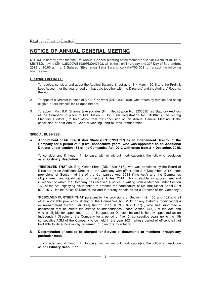# **NOTICE OF ANNUAL GENERAL MEETING**

**NOTICE** is hereby given that the **27th Annual General Meeting** of the Members of **KKALPANA PLASTICK LIMITED,** having **CIN: L25200WB1989PLC047702,** will be held on **Thursday, the 29th Day of September, 2016** at **10.00 a.m.** at **3 Saheed Nityananda Saha Sarani, Kolkata-700 001** to transact the following businesses:

#### **ORDINARY BUSINESS:**

- 1. To receive, consider and adopt the Audited Balance Sheet as at 31<sup>st</sup> March, 2016 and the Profit & Loss Account for the year ended on that date together with the Directors' and the Auditors' Reports, thereon.
- 2. To appoint a Director in place of Mr. D.K.Kalwani (DIN 03363450), who retires by rotation and being eligible offers himself for re-appointment.
- 3. To appoint M/s. B.K. Sharma & Associates (Firm Registration No. 323388E) as Statutory Auditors of the Company in place of M/s. Maloo & Co. (Firm Registration No. 310062E), the retiring Statutory Auditors , to hold office from the conclusion of this Annual General Meeting till the conclusion of next Annual General Meeting and fix their remuneration.

#### **SPECIAL BUSINESS:**

4. **Appointment of Mr. Braj Kishor Shahi (DIN: 07291517) as an Independent Director of the Company for a period of 5 (Five) consecutive years, who was appointed as an Additional Director under section 161 of the Companies Act, 2013 with effect from 21st December, 2015.**

To consider and if thought fit, to pass, with or without modification(s), the following resolution as an **Ordinary Resolution:**

**"RESOLVED THAT** Mr. Braj Kishor Shahi (DIN 07291517), who was appointed by the Board of Directors as an Additional Director of the Company with effect from 21<sup>st</sup> December, 2015 under provisions of Section 161(1) of the Companies Act, 2013 ("the Act") and the Companies (Appointment and Qualification of Directors) Rules, 2014, who is eligible for appointment and in respect of whom the Company has received a notice in writing from a Member under Section 160 of the Act, signifying his intention to propose the candidature of Mr. Braj Kishor Shahi (DIN 07291517) for the office of Director, be and is hereby appointed as a Director of the Company."

"**RESOLVED FURTHER THAT** pursuant to the provisions of Section 149, 150 and 152 and all other applicable provisions, if any, of the Companies Act, 2013 or any statutory modification(s) or reenactment thereof, Mr. Braj Kishor Shahi (DIN - 07291517) , who has submitted a declaration that he meets the criteria of independence under Section 149(6) of the Act, and who is eligible for appointment as an Independent Director, be and is hereby appointed as an Independent Director of the Company for a period of five (5) consecutive years up to the fifth consecutive AGM of the Company to be held in the year 2021, whose period of office shall not be liable to determination by retirement of directors by rotation .

#### 5. **Determination of fees to be charged for Service of documents to members through any particular mode.**

To consider and if thought fit, to pass, with or without modification(s), the following resolution as an **Ordinary Resolution**: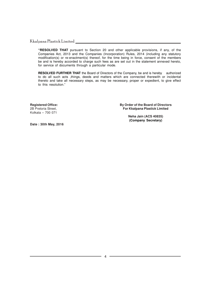**"RESOLVED THAT** pursuant to Section 20 and other applicable provisions, if any, of the Companies Act, 2013 and the Companies (Incorporation) Rules, 2014 (including any statutory modification(s) or re-enactment(s) thereof, for the time being in force, consent of the members be and is hereby accorded to charge such fees as are set out in the statement annexed hereto, for service of documents through a particular mode.

**RESOLVED FURTHER THAT** the Board of Directors of the Company, be and is hereby authorized to do all such acts ,things, deeds and matters which are connected therewith or incidental thereto and take all necessary steps, as may be necessary, proper or expedient, to give effect to this resolution."

Kolkata – 700 071

**Registered Office: By Order of the Board of Directors**<br>2B Pretoria Street, **By Order of the Board of Directors**<br>**By Order of the Board of Directors For Kkalpana Plastick Limited** 

> **Neha Jain (ACS 40835) (Company Secretary)**

**Date : 30th May, 2016**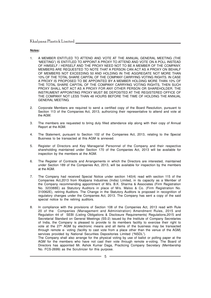**Notes:**

- 1. A MEMBER ENTITLED TO ATTEND AND VOTE AT THE ANNUAL GENERAL MEETING (THE "MEETING") IS ENTITLED TO APPOINT A PROXY TO ATTEND AND VOTE ON A POLL INSTEAD OF HIMSELF / HERSELF AND THE PROXY NEED NOT TO BE A MEMBER OF THE COMPANY. MEMBERS ARE REQUESTED TO NOTE THAT A PERSON CAN ACT AS A PROXY ON BEHALF OF MEMBERS NOT EXCEEDING 50 AND HOLDING IN THE AGGREGATE NOT MORE THAN 10% OF THE TOTAL SHARE CAPITAL OF THE COMPANY CARRYING VOTING RIGHTS. IN CASE A PROXY IS PROPOSED TO BE APPOINTED BY A MEMBER HOLDING MORE THAN 10% OF THE TOTAL SHARE CAPITAL OF THE COMPANY CARRYING VOTING RIGHTS, THEN SUCH PROXY SHALL NOT ACT AS A PROXY FOR ANY OTHER PERSON OR SHAREHOLDER. THE INSTRUMENT APPOINTING PROXY MUST BE DEPOSITED AT THE REGISTERED OFFICE OF THE COMPANY NOT LESS THAN 48 HOURS BEFORE THE TIME OF HOLDING THE ANNUAL GENERAL MEETING.
- 2. Corporate Members are required to send a certified copy of the Board Resolution, pursuant to Section 113 of the Companies Act, 2013, authorizing their representative to attend and vote at the AGM.
- 3. The members are requested to bring duly filled attendance slip along with their copy of Annual Report at the AGM.
- 4. The Statement, pursuant to Section 102 of the Companies Act, 2013, relating to the Special Business to be transacted at this AGM is annexed.
- 5. Register of Directors and Key Managerial Personnel of the Company and their respective shareholding maintained under Section 170 of the Companies Act, 2013 will be available for inspection by the members at the AGM.
- 6. The Register of Contracts and Arrangements in which the Directors are interested, maintained under Section 189 of the Companies Act, 2013, will be available for inspection by the members at the AGM.
- 7. The Company had received Special Notice under section 140(4) read with section 115 of the Companies Act,2013 from Kkalpana Industries (India) Limited, in its capacity as a Member of the Company recommending appointment of M/s. B.K. Sharma & Associates (Firm Registration No. 323388E) as Statutory Auditors in place of M/s. Maloo & Co. (Firm Registration No. 310062E), retiring Auditors. The Change in the Statutory Auditors is proposed in recognition of regulatory changes under the Companies Act, 2013. The Company has sent a copy of the said special notice to the retiring auditors.
- 8. In compliance with the provisions of Section 108 of the Companies Act, 2013 read with Rule 20 of the Companies (Management and Administration) Amendment Rules, 2015 and Regulation 44 of SEBI (Listing Obligations & Disclosure Requirements) Regulations,2015 and Secretarial Standard on General Meetings (SS-2) issued by the Institute of Company Secretaries of India, the Company is pleased to provide to its members facility to exercise their right to vote at the 27<sup>th</sup> AGM by electronic means and all items of the business may be transacted through remote e- voting (facility to cast vote from a place other than the venue of the AGM) services provided by National Securities Depositories Limited ("NSDL"). The Company shall also arrange for the physical voting by use of ballot or polling paper at the

AGM for the members who have not cast their vote through remote e-voting. The Board of Directors has appointed Mr. Ashok Kumar Daga, Practicing Company Secretary (Membership No. FCS-2699) as the Scrutinizer for this purpose.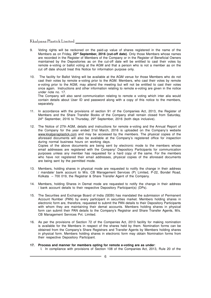separately.

- 9. Voting rights will be reckoned on the paid-up value of shares registered in the name of the Members as on Friday, **23rd September, 2016 (cut-off date)**. Only those Members whose names are recorded in the Register of Members of the Company or in the Register of Beneficial Owners maintained by the Depositories as on the cut-off date will be entitled to cast their votes by remote e-voting or ballot voting at the AGM and that a person who is not a member as on the cut off date should treat this Notice for information purpose only.
- 10. The facility for Ballot Voting will be available at the AGM venue for those Members who do not cast their votes by remote e-voting prior to the AGM. Members, who cast their votes by remote e-voting prior to the AGM, may attend the meeting but will not be entitled to cast their votes once again. Instructions and other information relating to remote e-voting are given in the notice under note no. 17. The Company will also send communication relating to remote e voting which inter alia would contain details about User ID and password along with a copy of this notice to the members,
- 11. In accordance with the provisions of section 91 of the Companies Act, 2013, the Register of Members and the Share Transfer Books of the Company shall remain closed from Saturday,  $24<sup>th</sup>$  September, 2016 to Thursday, 29<sup>th</sup> September, 2016 (both days inclusive).
- 12. The Notice of 27th AGM, details and instructions for remote e-voting and the Annual Report of the Company for the year ended 31st March, 2016 is uploaded on the Company's website www.kkalpanaplastick.com and may be accessed by the members. The physical copies of the aforesaid documents will also be available at the Company's registered office for inspection during normal business hours on working days. Copies of the above documents are being sent by electronic mode to the members whose email addresses are registered with the Company/ Depository Participants for communication purposes unless any member has requested for a hard copy of the same. For the members who have not registered their email addresses, physical copies of the aforesaid documents are being sent by the permitted mode.
- 13. Members, holding shares in physical mode are requested to notify the change in their address / mandate/ bank account to M/s. CB Management Services (P) Limited, P-22, Bondel Road, Kolkata – 700 019, the Registrar & Share Transfer Agent of the Company.
- 14. Members, holding Shares in Demat mode are requested to notify the change in their address / bank account details to their respective Depository Participant(s) (DPs).
- 15. The Securities and Exchange Board of India (SEBI) has mandated the submission of Permanent Account Number (PAN) by every participant in securities market. Members holding shares in electronic form are, therefore, requested to submit the PAN details to their Depository Participants with whom they are maintaining their demat accounts. Members holding shares in physical form can submit their PAN details to the Company's Registrar and Share Transfer Agents, M/s. CB Management Services Pvt. Limited.
- 16. As per the provisions of Section 72 of the Companies Act, 2013 facility for making nomination is available for the Members in respect of the shares held by them. Nomination forms can be obtained from the Company's Share Registrars and Transfer Agents by Members holding shares in physical form. Members holding shares in electronic form may obtain Nomination forms from their respective Depository Participant.

#### **17. Process and manner for members opting for remote e-voting are as under**:

I. In compliance with provisions of Section 108 of the Companies Act, 2013, Rule 20 of the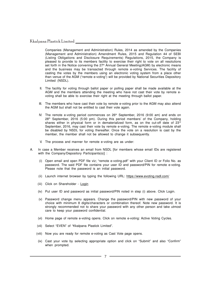Companies (Management and Administration) Rules, 2014 as amended by the Companies (Management and Administration) Amendment Rules, 2015 and Regulation 44 of SEBI (Listing Obligations and Disclosure Requirements) Regulations, 2015, the Company is pleased to provide to its members facility to exercise their right to vote on all resolutions set forth in the Notice convening the  $27<sup>th</sup>$  Annual General Meeting(AGM) by electronic means and the business may be transacted through remote e-voting Services. The facility of casting the votes by the members using an electronic voting system from a place other than venue of the AGM ("remote e-voting") will be provided by National Securities Depository Limited (NSDL).

- II. The facility for voting through ballot paper or polling paper shall be made available at the AGM and the members attending the meeting who have not cast their vote by remote evoting shall be able to exercise their right at the meeting through ballot paper.
- III. The members who have cast their vote by remote e-voting prior to the AGM may also attend the AGM but shall not be entitled to cast their vote again.
- IV. The remote e-voting period commences on  $26<sup>th</sup>$  September, 2016 (9:00 am) and ends on 28<sup>th</sup> September, 2016 (5:00 pm). During this period members' of the Company, holding shares either in physical form or in dematerialized form, as on the cut-off date of  $23<sup>rd</sup>$ September, 2016, may cast their vote by remote e-voting. The remote e-voting module shall be disabled by NSDL for voting thereafter. Once the vote on a resolution is cast by the member, the member shall not be allowed to change it subsequently.
- V. The process and manner for remote e-voting are as under:
- A. In case a Member receives an email from NSDL [for members whose email IDs are registered with the Company/Depository Participants(s)] :
	- (i) Open email and open PDF file viz; "remote e-voting.pdf" with your Client ID or Folio No. as password. The said PDF file contains your user ID and password/PIN for remote e-voting. Please note that the password is an initial password.
	- (ii) Launch internet browser by typing the following URL: https://www.evoting.nsdl.com/
	- (iii) Click on Shareholder Login
	- (iv) Put user ID and password as initial password/PIN noted in step (i) above. Click Login.
	- (v) Password change menu appears. Change the password/PIN with new password of your choice with minimum 8 digits/characters or combination thereof. Note new password. It is strongly recommended not to share your password with any other person and take utmost care to keep your password confidential.
	- (vi) Home page of remote e-voting opens. Click on remote e-voting: Active Voting Cycles.
	- (vii) Select "EVEN" of "Kkalpana Plastick Limited".
	- (viii) Now you are ready for remote e-voting as Cast Vote page opens.
	- (ix) Cast your vote by selecting appropriate option and click on "Submit" and also "Confirm" when prompted.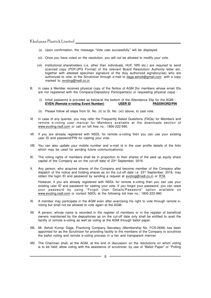- (x) Upon confirmation, the message "Vote cast successfully" will be displayed.
- (xi) Once you have voted on the resolution, you will not be allowed to modify your vote.
- (xii) Institutional shareholders (i.e. other than individuals, HUF, NRI etc.) are required to send scanned copy (PDF/JPG Format) of the relevant Board Resolution/ Authority letter etc. together with attested specimen signature of the duly authorized signatory(ies) who are authorized to vote, to the Scrutinizer through e-mail to daga.ashok@gmail.com with a copy marked to evoting@nsdl.co.in
- B. In case a Member receives physical copy of the Notice of AGM [for members whose email IDs are not registered with the Company/Depository Participants(s) or requesting physical copy] :
	- (i) Initial password is provided as below/at the bottom of the Attendance Slip for the  $AGM$ : **EVEN (Remote e-voting Event Number) USER ID PASSWORD/PIN**
	- (ii) Please follow all steps from Sl. No. (ii) to Sl. No. (xii) above, to cast vote.
- VI. In case of any queries, you may refer the Frequently Asked Questions (FAQs) for Members and remote e-voting user manual for Members available at the downloads section of www.evoting.nsdl.com or call on toll free no.: 1800-222-990.
- VII. If you are already registered with NSDL for remote e-voting then you can use your existing user ID and password/PIN for casting your vote.
- VIII. You can also update your mobile number and e-mail id in the user profile details of the folio which may be used for sending future communication(s).
- IX. The voting rights of members shall be in proportion to their shares of the paid up equity share capital of the Company as on the cut-off date of 23<sup>rd</sup> September, 2016.
- X. Any person, who acquires shares of the Company and become member of the Company after dispatch of the notice and holding shares as on the cut-off date i.e. 23<sup>rd</sup> September, 2016, may obtain the login ID and password by sending a request at evoting@nsdl.co.in or RTA.

However, if you are already registered with NSDL for remote e-voting then you can use your existing user ID and password for casting your vote. If you forgot your password, you can reset your password by using "Forgot User Details/Password" option available on www.evoting.nsdl.com or contact NSDL at the following toll free no.: 1800-222-990.

- XI. A member may participate in the AGM even after exercising his right to vote through remote evoting but shall not be allowed to vote again at the AGM.
- XII. A person, whose name is recorded in the register of members or in the register of beneficial owners maintained by the depositories as on the cut-off date only shall be entitled to avail the facility of remote e-voting as well as voting at the AGM through ballot paper.
- XIII. Mr. Ashok Kumar Daga, Practicing Company Secretary (Membership No. FCS-2699) has been appointed for as the Scrutinizer for providing facility to the members of the Company to scrutinize the ballot voting and remote e-voting process in a fair and transparent manner.
- XIV. The Chairman shall, at the AGM, at the end of discussion on the resolutions on which voting is to be held, allow voting with the assistance of scrutinizer, by use of "Ballot Paper" or "Polling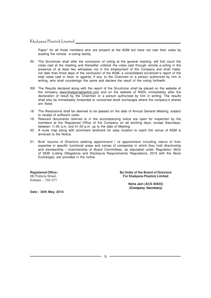Paper" for all those members who are present at the AGM but have not cast their votes by availing the remote e-voting facility.

- XV. The Scrutinizer shall after the conclusion of voting at the general meeting, will first count the votes cast at the meeting and thereafter unblock the votes cast through remote e-voting in the presence of at least two witnesses not in the employment of the Company and shall make, not later than three days of the conclusion of the AGM, a consolidated scrutinizer's report of the total votes cast in favor or against, if any, to the Chairman or a person authorized by him in writing, who shall countersign the same and declare the result of the voting forthwith.
- XVI. The Results declared along with the report of the Scrutinizer shall be placed on the website of the company www.kkalpanaplastick.com and on the website of NSDL immediately after the declaration of result by the Chairman or a person authorized by him in writing. The results shall also be immediately forwarded to concerned stock exchanges where the company's shares are listed.
- 18. The Resolutions shall be deemed to be passed on the date of Annual General Meeting, subject to receipt of sufficient votes.
- 19. Relevant documents referred to in the accompanying notice are open for inspection by the members at the Registered Office of the Company on all working days, except Saturdays, between 11.00 a.m. and 01.00 p.m. up to the date of Meeting.
- 20. A route map along with prominent landmark for easy location to reach the venue of AGM is annexed to the Notice.
- 21. Brief resume of Directors seeking appointment / re appointment including nature of their expertise in specific functional areas and names of companies in which they hold directorship and membership / chairmanship of Board Committees, as stipulated under Regulation 36(3) of SEBI (Listing Obligations and Disclosure Requirements) Regulations, 2015 with the Stock Exchanges, are provided in the notice.

Kolkata – 700 071

**Registered Office: By Order of the Board of Directors**<br>2B Pretoria Street. **By Order of the Board of Directors**<br>**By Order of the Board of Directors For Kkalpana Plastick Limited** 

**Date : 30th May, 2016**

**Neha Jain (ACS 40835) (Company Secretary)**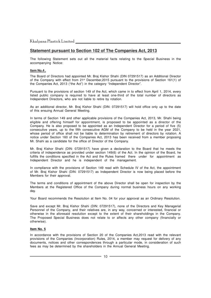### **Statement pursuant to Section 102 of The Companies Act, 2013**

The following Statement sets out all the material facts relating to the Special Business in the accompanying Notice:

#### **Item No.4 .**

The Board of Directors had appointed Mr. Braj Kishor Shahi (DIN 07291517) as an Additional Director of the Company with effect from 21st December,2015 pursuant to the provisions of Section 161(1) of the Companies Act, 2013 ("the Act") in the category "Independent Director".

Pursuant to the provisions of section 149 of the Act, which came in to effect from April 1, 2014, every listed public company is required to have at least one-third of the total number of directors as Independent Directors, who are not liable to retire by rotation.

As an additional director, Mr. Braj Kishor Shahi (DIN: 07291517) will hold office only up to the date of this ensuing Annual General Meeting.

In terms of Section 149 and other applicable provisions of the Companies Act, 2013, Mr. Shahi being eligible and offering himself for appointment, is proposed to be appointed as a director of the Company. He is also proposed to be appointed as an Independent Director for a period of five (5) consecutive years, up to the fifth consecutive AGM of the Company to be held in the year 2021, whose period of office shall not be liable to determination by retirement of directors by rotation. A notice under Section 160 of the Companies Act, 2013 has been received from a member proposing Mr. Shahi as a candidate for the office of Director of the Company.

Mr. Braj Kishor Shahi (DIN: 07291517) have given a declaration to the Board that he meets the criteria of independence as provided under section 149(6) of the Act. In the opinion of the Board, he fulfills the conditions specified in the Act and the Rules framed there under for appointment as Independent Director and he is independent of the management.

In compliance with the provisions of Section 149 read with Schedule IV of the Act, the appointment of Mr. Braj Kishor Shahi (DIN: 07291517) as Independent Director is now being placed before the Members for their approval.

The terms and conditions of appointment of the above Director shall be open for inspection by the Members at the Registered Office of the Company during normal business hours on any working day.

Your Board recommends the Resolution at Item No. 04 for your approval as an Ordinary Resolution.

Save and except Mr. Braj Kishor Shahi (DIN: 07291517), none of the Directors and Key Managerial Personnel of the Company, and their relatives are, in any way, concerned or interested, financial or otherwise in the aforesaid resolution except to the extent of their shareholdings in the Company. The Proposed Special Business does not relate to or affects any other company (financially or otherwise).

#### **Item No. 5**

In accordance with the provisions of Section 20 of the Companies Act,2013 read with the relevant provisions of the Companies (Incorporation) Rules, 2014, a member may request for delivery of any documents, notices and other correspondences through a particular mode, in consideration of such fees as may be determined by the shareholders in the Annual General Meeting.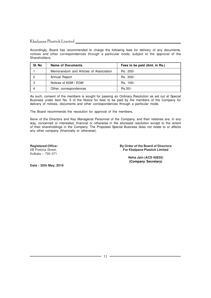Accordingly, Board has recommended to charge the following fees for delivery of any documents, notices and other correspondences through a particular mode, subject to the approval of the Shareholders;

| SI. No | <b>Name of Documents</b>               | Fees to be paid (Amt. in Rs.) |
|--------|----------------------------------------|-------------------------------|
|        | Memorandum and Articles of Association | Rs. 200/-                     |
| っ      | Annual Report                          | Rs. 200/-                     |
| د      | Notices of AGM / EGM                   | Rs. 100/-                     |
|        | Other correspondences                  | $Rs.50/-$                     |

As such, consent of the members is sought for passing an Ordinary Resolution as set out at Special Business under Item No. 5 of the Notice for fees to be paid by the members of the Company for delivery of notices, documents and other correspondences through a particular mode.

The Board recommends the resolution for approval of the members.

None of the Directors and Key Managerial Personnel of the Company, and their relatives are, in any way, concerned or interested, financial or otherwise in the aforesaid resolution except to the extent of their shareholdings in the Company. The Proposed Special Business does not relate to or affects any other company (financially or otherwise).

Kolkata – 700 071

**Registered Office: By Order of the Board of Directors** 2B Pretoria Street, **For Kkalpana Plastick Limited**

> **Neha Jain (ACS 40835) (Company Secretary)**

**Date : 30th May, 2016**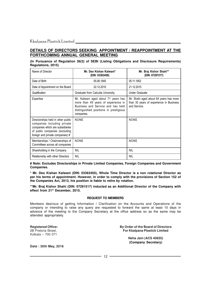### **DETAILS OF DIRECTORS SEEKING APPOINTMENT / REAPPOINTMENT AT THE FORTHCOMING ANNUAL GENERAL MEETING**

**(In Pursuance of Regulation 36(3) of SEBI (Listing Obligations and Disclosure Requirements) Regulations, 2015)**

| Name of Director                                                                                                                                                            | Mr. Deo Kishan Kalwani*<br>(DIN: 03363450)                                                                                                                              | Mr. Braj Kishor Shahi**<br>(DIN: 07291517)                                                        |
|-----------------------------------------------------------------------------------------------------------------------------------------------------------------------------|-------------------------------------------------------------------------------------------------------------------------------------------------------------------------|---------------------------------------------------------------------------------------------------|
| Date of Birth                                                                                                                                                               | 05.06.1945                                                                                                                                                              | 05.11.1952                                                                                        |
| Date of Appointment on the Board                                                                                                                                            | 22.12.2010                                                                                                                                                              | 21.12.2015                                                                                        |
| Qualification                                                                                                                                                               | Graduate from Calcutta University.                                                                                                                                      | <b>Under Graduate</b>                                                                             |
| Expertise                                                                                                                                                                   | Mr. Kalwani aged about 71 years has<br>more than 49 years of experience in<br>Business and Service and has held<br>distinguished positions in prestigious<br>companies. | Mr. Shahi aged about 64 years has more<br>than 30 years of experience in Business<br>and Service. |
| Directorships held in other public<br>companies including private<br>companies which are subsidiaries<br>of public companies (excluding<br>foreign and private companies) # | <b>NONE</b>                                                                                                                                                             | <b>NONE</b>                                                                                       |
| Memberships / Chairmanships of<br>Committees across all companies                                                                                                           | <b>NONE</b>                                                                                                                                                             | <b>NONE</b>                                                                                       |
| Shareholding in the Company                                                                                                                                                 | <b>NIL</b>                                                                                                                                                              | <b>NIL</b>                                                                                        |
| Relationship with other Directors                                                                                                                                           | <b>NIL</b>                                                                                                                                                              | <b>NIL</b>                                                                                        |

**# Note: Excludes Directorships in Private Limited Companies, Foreign Companies and Government Companies.**

**\* Mr. Deo Kishan Kalwani (DIN: 03363450), Whole Time Director is a non rotational Director as per his terms of appointment. However, in order to comply with the provisions of Section 152 of the Companies Act, 2013, his position is liable to retire by rotation.**

**\*\*Mr. Braj Kishor Shahi (DIN: 07291517) inducted as an Additional Director of the Company with effect from 21st December, 2015.**

#### **REQUEST TO MEMBERS**

Members desirous of getting Information / Clarification on the Accounts and Operations of the company or intending to raise any query are requested to forward the same at least 10 days in advance of the meeting to the Company Secretary at the office address so as the same may be attended appropriately.

Kolkata – 700 071

**Registered Office: By Order of the Board of Directors**<br>2B Pretoria Street. **By Order of the Board of Directors**<br>**By Order of the Board of Directors For Kkalpana Plastick Limited** 

> **Neha Jain (ACS 40835) (Company Secretary)**

**Date : 30th May, 2016**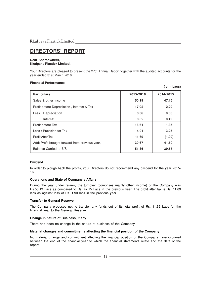# **DIRECTORS' REPORT**

#### **Dear Shareowners, Kkalpana Plastick Limited,**

Your Directors are pleased to present the 27th Annual Report together with the audited accounts for the year ended 31st March 2016.

#### **Financial Performance**

|                                                 |           | $($ ₹ In Lacs) |
|-------------------------------------------------|-----------|----------------|
| <b>Particulars</b>                              | 2015-2016 | 2014-2015      |
| Sales & other Income                            | 50.19     | 47.15          |
| Profit before Depreciation, Interest & Tax      | 17.02     | 2.20           |
| Less : Depreciation                             | 0.36      | 0.36           |
| Interest                                        | 0.05      | 0.49           |
| Profit before Tax                               | 16.61     | 1.35           |
| Less: Provision for Tax                         | 4.91      | 3.25           |
| <b>Profit After Tax</b>                         | 11.69     | (1.90)         |
| Add: Profit brought forward from previous year. | 39.67     | 41.60          |
| Balance Carried to B/S                          | 51.36     | 39.67          |

#### **Dividend**

In order to plough back the profits, your Directors do not recommend any dividend for the year 2015- 16.

#### **Operations and State of Company's Affairs**

During the year under review, the turnover (comprises mainly other income) of the Company was Rs.50.19 Lacs as compared to Rs. 47.15 Lacs in the previous year. The profit after tax is Rs. 11.69 lacs as against loss of Rs. 1.90 lacs in the previous year.

#### **Transfer to General Reserve**

The Company proposes not to transfer any funds out of its total profit of Rs. 11.69 Lacs for the financial year to the General Reserve.

#### **Change in nature of Business, if any**

There has been no change in the nature of business of the Company.

#### **Material changes and commitments affecting the financial position of the Company**

No material change and commitment affecting the financial position of the Company have occurred between the end of the financial year to which the financial statements relate and the date of the report.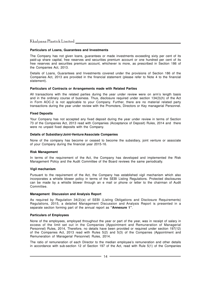#### **Particulars of Loans, Guarantees and Investments**

The Company has not given loans, guarantees or made investments exceeding sixty per cent of its paid-up share capital, free reserves and securities premium account or one hundred per cent of its free reserves and securities premium account, whichever is more, as prescribed in Section 186 of the Companies Act, 2013.

Details of Loans, Guarantees and Investments covered under the provisions of Section 186 of the Companies Act, 2013 are provided in the financial statement (please refer to Note 4 to the financial statement).

#### **Particulars of Contracts or Arrangements made with Related Parties**

All transactions with the related parties during the year under review were on arm's length basis and in the ordinary course of business. Thus, disclosure required under section 134(3)(h) of the Act in Form AOC-2 is not applicable to your Company. Further, there are no material related party transactions during the year under review with the Promoters, Directors or Key managerial Personnel.

#### **Fixed Deposits**

Your Company has not accepted any fixed deposit during the year under review in terms of Section 73 of the Companies Act, 2013 read with Companies (Acceptance of Deposit) Rules, 2014 and there were no unpaid fixed deposits with the Company.

#### **Details of Subsidiary/Joint-Venture/Associate Companies**

None of the company has become or ceased to become the subsidiary, joint venture or associate of your Company during the financial year 2015-16.

#### **Risk Management**

In terms of the requirement of the Act, the Company has developed and implemented the Risk Management Policy and the Audit Committee of the Board reviews the same periodically.

#### **Vigil mechanism**

Pursuant to the requirement of the Act, the Company has established vigil mechanism which also incorporates a whistle blower policy in terms of the SEBI Listing Regulations. Protected disclosures can be made by a whistle blower through an e mail or phone or letter to the chairman of Audit Committee.

#### **Management Discussion and Analysis Report**

As required by Regulation 34(2)(e) of SEBI (Listing Obligations and Disclosure Requirements) Regulations, 2015, a detailed Management Discussion and Analysis Report is presented in a separate section forming part of the annual report as **"Annexure 1"**.

#### **Particulars of Employees**

None of the employees, employed throughout the year or part of the year, was in receipt of salary in excess of the limit set out in the Companies (Appointment and Remuneration of Managerial Personnel) Rules, 2014, Therefore, no details have been provided or required under section 197(12) of the Companies Act, 2013 read with Rules 5(2) and 5(3) of the Companies (Appointment and Remuneration of Managerial Personnel) Rules, 2014.

The ratio of remuneration of each Director to the median employee's remuneration and other details in accordance with sub-section 12 of Section 197 of the Act, read with Rule 5(1) of the Companies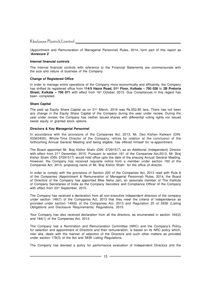(Appointment and Remuneration of Managerial Personnel) Rules, 2014, form part of this report as **'Annexure 2'**

#### **Internal financial controls**

The internal financial controls with reference to the Financial Statements are commensurate with the size and nature of business of the Company.

#### **Change of Registered Office**

In order to manage entire operations of the Company more economically and efficiently, the Company has shifted its registered office from **114/5 Hazra Road, 01st Floor, Kolkata – 700 026** to **2B Pretoria Street, Kolkata** – 700 071 with effect from 16<sup>th</sup> October, 2015. Due Compliances in this regard has been completed.

#### **Share Capital**

The paid up Equity Share Capital as on 31<sup>st</sup> March, 2016 was Rs.552.85 lacs. There has not been any change in the Equity Share Capital of the Company during the year under review. During the year under review, the Company has neither issued shares with differential voting rights nor issued sweat equity or granted stock options.

#### **Directors & Key Managerial Personnel**

In accordance with the provisions of the Companies Act, 2013, Mr. Deo Kishan Kalwani (DIN: 03363450), Whole-Time Director of the Company, retires by rotation at the conclusion of the forthcoming Annual General Meeting and being eligible, has offered himself for re-appointment.

The Board appointed Mr. Braj Kishor Shahi (DIN: 07291517) as an Additional (Independent) Director with effect from 21<sup>st</sup> December, 2015. Pursuant to section 161 of the Companies Act, 2013, Mr. Brai Kishor Shahi (DIN: 07291517) would hold office upto the date of the ensuing Annual General Meeting. However, the Company has received requisite notice from a member under section 160 of the Companies Act, 2013, proposing name of Mr. Braj Kishor Shahi for the office of director.

In order to comply with the provisions of Section 203 of the Companies Act, 2013 read with Rule 8 of the Companies (Appointment & Remuneration of Managerial Personnel) Rules, 2014, the Board of Directors of the Company has appointed Miss Neha Jain, an associate member of The Institute of Company Secretaries of India as the Company Secretary and Compliance Officer of the Company with effect from 03rd September, 2015.

The Company has received a declaration from all non-executive independent directors of the company under section 149(7) of the Companies Act, 2013 that they meet the criteria of independence as provided under section 149(6) of the Companies Act, 2013 and Regulation 25 of SEBI (Listing Obligations and Disclosure Requirements) Regulations, 2015.

Your Company has also received declaration from all the directors, as enumerated in section 164(2) and 184(1) of the Companies Act, 2013.

The Company has a Nomination and Remuneration Committee (NRC) and the Company's Policy for selection and appointment of Directors and their remuneration, is based on its NRC policy which, inter alia, deals with the manner of selection of the Directors and such other matters as provided under section 178(3) of the Act and SEBI Listing Regulations.

The Company has devised a policy for performance evaluation of Independent Directors and the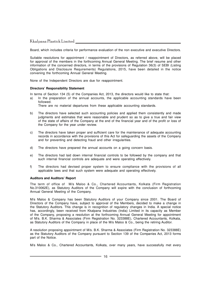Board, which includes criteria for performance evaluation of the non executive and executive Directors.

Suitable resolutions for appointment / reappointment of Directors, as referred above, will be placed for approval of the members in the forthcoming Annual General Meeting. The brief resume and other information of the concerned directors, in terms of the provisions of Regulation 36(3) of SEBI (Listing Obligations and Disclosure Requirements) Regulations, 2015, have been detailed in the notice convening the forthcoming Annual General Meeting.

None of the Independent Directors are due for reappointment.

#### **Directors' Responsibility Statement**

In terms of Section 134 (5) of the Companies Act, 2013, the directors would like to state that:

a) In the preparation of the annual accounts, the applicable accounting standards have been followed.

There are no material departures from these applicable accounting standards.

- b) The directors have selected such accounting policies and applied them consistently and made judgments and estimates that were reasonable and prudent so as to give a true and fair view of the state of affairs of the Company at the end of the financial year and of the profit or loss of the Company for the year under review.
- c) The directors have taken proper and sufficient care for the maintenance of adequate accounting records in accordance with the provisions of this Act for safeguarding the assets of the Company and for preventing and detecting fraud and other irregularities.
- d) The directors have prepared the annual accounts on a going concern basis.
- e) The directors had laid down internal financial controls to be followed by the company and that such internal financial controls are adequate and were operating effectively.
- f) The directors had devised proper system to ensure compliance with the provisions of all applicable laws and that such system were adequate and operating effectively.

#### **Auditors and Auditors' Report**

The term of office of M/s Maloo & Co., Chartered Accountants, Kolkata (Firm Registration No.310062E), as Statutory Auditors of the Company will expire with the conclusion of forthcoming Annual General Meeting of the Company.

M/s Maloo & Company has been Statutory Auditors of your Company since 2001. The Board of Directors of the Company have, subject to approval of the Members, decided to make a change in the Statutory Auditors. This change is in recognition of regulatory changes in India. A special notice has, accordingly, been received from Kkalpana Industries (India) Limited in its capacity as Member of the Company, proposing a resolution at the forthcoming Annual General Meeting for appointment of M/s. B.K. Sharma & Associates (Firm Registration No. 323388E), Chartered Accountants, Kolkata, as Statutory Auditors of the Company in place of the M/s Maloo & Co., being the retiring Auditor.

A resolution proposing appointment of M/s. B.K. Sharma & Associates (Firm Registration No. 323388E) as the Statutory Auditors of the Company pursuant to Section 139 of the Companies Act, 2013 forms part of the Notice.

M/s Maloo & Co., Chartered Accountants, Kolkata, over many years, have successfully met every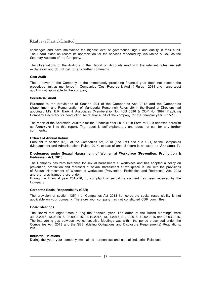challenges and have maintained the highest level of governance, rigour and quality in their audit. The Board place on record its appreciation for the services rendered by M/s Maloo & Co., as the Statutory Auditors of the Company.

The observations of the Auditors in the Report on Accounts read with the relevant notes are self explanatory and do not call for any further comments.

#### **Cost Audit**

The turnover of the Company in the immediately preceding financial year does not exceed the prescribed limit as mentioned in Companies (Cost Records & Audit ) Rules , 2014 and hence ,cost audit is not applicable to the company.

#### **Secretarial Audit**

Pursuant to the provisions of Section 204 of the Companies Act, 2013 and the Companies (Appointment and Remuneration of Managerial Personnel) Rules, 2014, the Board of Directors had appointed M/s. B.K. Barik & Associates (Membership No. FCS 5696 & COP No. 3897),Practicing Company Secretary for conducting secretarial audit of the company for the financial year 2015-16.

The report of the Secretarial Auditors for the Financial Year 2015-16 in Form MR-3 is annexed herewith as **Annexure 3** to this report. The report is self-explanatory and does not call for any further comments.

#### **Extract of Annual Return**

Pursuant to section 92(3) of the Companies Act, 2013 ('the Act') and rule 12(1) of the Companies (Management and Administration) Rules, 2014, extract of annual return is annexed as '**Annexure 4'**.

#### **Disclosures under Sexual Harassment of Women at Workplace (Prevention, Prohibition & Redressal) Act, 2013**

The Company has zero tolerance for sexual harassment at workplace and has adopted a policy on prevention, prohibition and redressal of sexual harassment at workplace in line with the provisions of Sexual Harassment of Women at workplace (Prevention, Prohibition and Redressal) Act, 2013 and the rules framed there under.

During the financial year 2015-16, no complaint of sexual harassment has been received by the Company.

#### **Corporate Social Responsibility (CSR)**

The provision of section 135(1) of Companies Act 2013 i.e. corporate social responsibility is not applicable on your company. Therefore your company has not constituted CSR committee.

#### **Board Meetings**

The Board met eight times during the financial year. The dates of the Board Meetings were 30.05.2015, 13.08.2015, 03.09.2015, 16.10.2015, 13.11.2015, 21.12.2015, 12.02.2016 and 28.03.2016. The intervening gap between two consecutive Meetings was within the period prescribed under the Companies Act, 2013 and the SEBI (Listing Obligations and Disclosure Requirements) Regulations, 2015.

#### **Industrial Relations**

During the year, your company maintained harmonious and cordial Industrial Relations.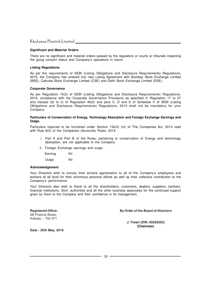#### **Significant and Material Orders**

There are no significant and material orders passed by the regulators or courts or tribunals impacting the going concern status and Company's operations in future.

#### **Listing Regulations**

As per the requirements of SEBI (Listing Obligations and Disclosure Requirements) Regulations, 2015, the Company has entered into new Listing Agreement with Bombay Stock Exchange Limited (BSE), Calcutta Stock Exchange Limited (CSE) and Delhi Stock Exchange Limited (DSE).

#### **Corporate Governance**

As per Regulation 15(2) of SEBI (Listing Obligations and Disclosure Requirements) Regulations, 2015, compliance with the Corporate Governance Provisions as specified in Regulation 17 to 27 and clauses (b) to (i) of Regulation 46(2) and para C, D and E of Schedule V of SEBI (Listing Obligations and Disclosure Requirements) Regulations, 2015 shall not be mandatory for your Company.

#### **Particulars of Conservation of Energy, Technology Absorption and Foreign Exchange Earnings and Outgo.**

Particulars required to be furnished under Section 134(3) (m) of The Companies Act, 2013 read with Rule 8(3) of the Companies (Accounts) Rules, 2014.

- i. Part A and Part B of the Rules, pertaining to conservation of Energy and technology absorption, are not applicable to the Company
- ii. Foreign Exchange earnings and outgo

Earning Nil

Outgo Nil

#### **Acknowledgement**

Your Directors wish to convey their sincere appreciation to all of the Company's employees and workers at all level for their enormous personal efforts as well as their collective contribution to the Company's performance.

Your Directors also wish to thank to all the shareholders, customers, dealers, suppliers, bankers, financial institutions, Govt. authorities and all the other business associates for the continued support given by them to the Company and their confidence in its management.

2B Pretoria Street, Kolkata – 700 071

**Registered Office: By Order of the Board of Directors**

**J. Tiwari (DIN: 00228352) (Chairman)**

**Date : 30th May, 2016**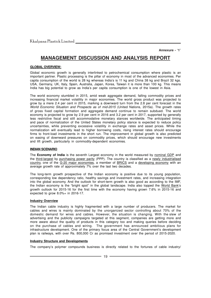**Annexure - '1'**

## **MANAGEMENT DISCUSSION AND ANALYSIS REPORT**

#### **GLOBAL OVERVIEW:**

Global economic growth is generally interlinked to petrochemical consumption where plastic is an important partner. Plastic processing is the pillar of economy in most of the advanced economies. Per capita consumption of the world is 28 kg whereas India's is 11 kg and China 38 kg and Brazil 32 kgs. USA, Germany, UK, Italy, Spain, Australia, Japan, Korea, Taiwan it is more than 100 kg. This means India has big potential to grow as India's per capita consumption is one of the lowest in Asia.

The world economy stumbled in 2015, amid weak aggregate demand, falling commodity prices and increasing financial market volatility in major economies. The world gross product was projected to grow by a mere 2.4 per cent in 2015, marking a downward turn from the 2.8 per cent forecast in the World Economic Situation and Prospects as of mid-2015 (United Nations, 2015a). The growth rates of gross fixed capital formation and aggregate demand continue to remain subdued. The world economy is projected to grow by 2.9 per cent in 2016 and 3.2 per cent in 2017, supported by generally less restrictive fiscal and still accommodative monetary stances worldwide. The anticipated timing and pace of normalization of the United States monetary policy stance is expected to reduce policy uncertainties, while preventing excessive volatility in exchange rates and asset prices. While the normalization will eventually lead to higher borrowing costs, rising interest rates should encourage firms to front-load investments in the short run. The improvement in global growth is also predicted on easing of downward pressures on commodity prices, which should encourage new investments and lift growth, particularly in commodity-dependent economies.

#### **INDIAN SCENARIO**

The **Economy of India** is the seventh Largest economy in the world measured by nominal GDP and the third-largest by purchasing power parity (PPP). The country is classified as a newly industrialised country, one of the G-20 major economies, a member of BRICS and a developing economy with an average growth rate of approximately 7% over the last two decades.

The long-term growth prospective of the Indian economy is positive due to its young population, corresponding low dependency ratio, healthy savings and investment rates, and increasing integration into the global economy. And the outlook for short-term growth is also good as according to the IMF, the Indian economy is the "bright spot" in the global landscape. India also topped the World Bank's growth outlook for 2015-16 for the first time with the economy having grown 7.6% in 2015-16 and expected to grow  $8.0\%$ + in 2016-17.

#### **Industry Overview**

The Indian cable industry is highly fragmented with a large number of producers. The market for cables and wires is mainly dominated by the unorganized sector controlling about 70% of the domestic demand for wires and cables. However, the situation is changing. With the slew of advertising and the publicity campaigns targeted at this segment, companies are getting more and more aware about the quality of products in this category too and making queries before deciding on the purchase of cables and wiring. The government has announced ambitious plans for infrastructure development. One of the primary focus area of the Central Government's development plan is railways, with over Rs. 800,000 Cr as promised investment over the period of 2015-2020.

#### **Industry Structure and Developments**

The company's polymer compounds business is directly related to the fortunes of cable industry/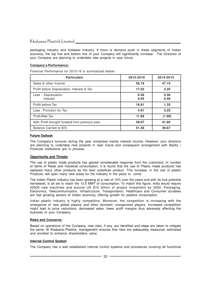packaging industry and footwear industry. If there is demand push in these segments of Indian economy, the top line and bottom line of your Company will significantly increase. The Directors of your Company are planning to undertake new projects in near future.

#### **Company's Performance:**

Financial Performance for 2015-16 is summarized below:-

| <b>Particulars</b>                              | 2015-2016    | 2014-2015    |
|-------------------------------------------------|--------------|--------------|
| Sales & other Income                            | 50.19        | 47.15        |
| Profit before Depreciation, Interest & Tax      | 17.02        | 2.20         |
| Less: Depreciation<br>Interest                  | 0.36<br>0.05 | 0.36<br>0.49 |
| Profit before Tax                               | 16.61        | 1.35         |
| Less: Provision for Tax                         | 4.91         | 3.25         |
| <b>Profit After Tax</b>                         | 11.69        | (1.90)       |
| Add: Profit brought forward from previous year. | 39.67        | 41.60        |
| Balance Carried to B/S                          | 51.36        | 39.67        |

#### **Future Outlook**

The Company's turnover during the year comprises mainly interest income. However, your directors are planning to undertake new projects in near future and consequent arrangement with Banks / Financial Institutions are in process.

#### **Opportunity and Threats**

The use of plastic made products has gained considerable response from the customers. In number of items of Retail and Industrial consumption, it is found that the use of Plastic made products has replaced many other products as the best substitute product. This increase, in the use of plastic Products, will open many new areas for the Industry in the years to come.

The Indian Plastic industry has been growing at a rate of 12% over the years and with its true potential harnessed, is all set to reach the 12.5 MMT of consumption. To match this figure, India would require 42000 new machines and around US \$10 billion of project investment by 2020. Packaging, Electronics, Telecommunication, Infrastructure, Transportation, Healthcare and Consumer durables are fast growing sectors of Indian economy, offering growth for plastics consumption.

Indian plastic industry is highly competitive. Moreover, the competition is increasing with the emergence of new global players and other domestic unorganized players. Increased competition might lead to price reductions, decreased sales, lower profit margins thus adversely affecting the business of your Company.

#### **Risks and Concerns:**

Based on operations of the Company, new risks, if any, are identified and steps are taken to mitigate the same. At Kkalpana Plastick, management ensures that risks are adequately measured, estimated and enrolled to enhance shareholders value.

#### **Internal Control System**

The Company has a well established internal control systems and procedures covering all functional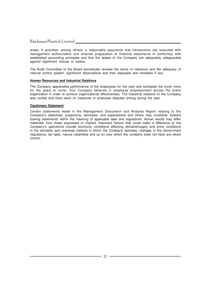areas. It provides, among others, a reasonable assurance that transactions are executed with management authorization and ensures preparation of financial statements in conformity with established accounting principles and that the assets of the Company are adequately safeguarded against significant misuse or losses.

The Audit Committee of the Board periodically reviews the terms of reference and the adequacy of internal control system, significant observations and their disposals and remedies if any.

#### **Human Resources and Industrial Relations**

The Company appreciates performance of the employees for the year and anticipate the much more for the years to come. Your Company believes in employee empowerment across the entire organization in order to achieve organizational effectiveness. The Industrial relations of the Company was cordial and there were no instances of employee disputes arising during the year.

#### **Cautionary Statement**

Certain statements made in the Management Discussion and Analysis Report relating to the Company's objectives, projections, estimates, and expectations and others may constitute 'forward looking statements' within the meaning of applicable laws and regulations. Actual results may differ materially from those expressed or implied. Important factors that could make a difference to the Company's operations include economic conditions affecting demand/supply and price conditions in the domestic and overseas markets in which the Company operates, changes in the Government regulations, tax laws, natural calamities and so on over which the company does not have any direct control.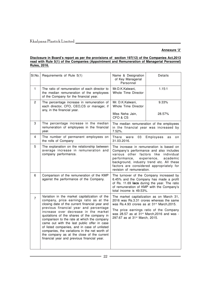#### **Annexure '2'**

#### **Disclosure in Board's report as per the provisions of section 197(12) of the Companies Act,2013 read with Rule 5(1) of the Companies (Appointment and Remuneration of Managerial Personnel) Rules, 2016.**

| SI.No.         | Requirements of Rule 5(1)                                                                                                                                                                                                                                                                                                                                                                                                                                                                                                                                              | Name & Designation<br>of Key Managerial<br>Personnel                                                                                                                                                                                                                                                | Details                                                                                                                                                                                    |  |
|----------------|------------------------------------------------------------------------------------------------------------------------------------------------------------------------------------------------------------------------------------------------------------------------------------------------------------------------------------------------------------------------------------------------------------------------------------------------------------------------------------------------------------------------------------------------------------------------|-----------------------------------------------------------------------------------------------------------------------------------------------------------------------------------------------------------------------------------------------------------------------------------------------------|--------------------------------------------------------------------------------------------------------------------------------------------------------------------------------------------|--|
| $\mathbf{1}$   | The ratio of remuneration of each director to<br>the median remuneration of the employees<br>of the Company for the financial year.                                                                                                                                                                                                                                                                                                                                                                                                                                    | Mr.D.K.Kalwani.<br>Whole Time Director                                                                                                                                                                                                                                                              | 1.15:1                                                                                                                                                                                     |  |
| 2              | The percentage increase in remuneration of<br>each director, CFO, CEO,CS or manager, if<br>any, in the financial year.                                                                                                                                                                                                                                                                                                                                                                                                                                                 | Mr. D.K.Kalwani,<br>Whole Time Director                                                                                                                                                                                                                                                             | 9.33%                                                                                                                                                                                      |  |
|                |                                                                                                                                                                                                                                                                                                                                                                                                                                                                                                                                                                        | Miss Neha Jain,<br>CFO & CS                                                                                                                                                                                                                                                                         | 28.57%                                                                                                                                                                                     |  |
| 3              | The percentage increase in the median<br>remuneration of employees in the financial<br>year.                                                                                                                                                                                                                                                                                                                                                                                                                                                                           | 7.52%.                                                                                                                                                                                                                                                                                              | The median remuneration of the employees<br>in the financial year was increased by                                                                                                         |  |
| 4              | The number of permanent employees on<br>the rolls of Company                                                                                                                                                                                                                                                                                                                                                                                                                                                                                                           | There<br>03<br>were<br>31.03.2016.                                                                                                                                                                                                                                                                  | Employees<br>as<br>on                                                                                                                                                                      |  |
| 5              | The explanation on the relationship between<br>average increase in remuneration and<br>company performance.                                                                                                                                                                                                                                                                                                                                                                                                                                                            | The increase in remuneration is based on<br>Company's performance and also includes<br>various other<br>factors like<br>individual<br>performance,<br>experience,<br>academic<br>background, industry trend etc. All these<br>factors are considered appropriately for<br>revision of remuneration. |                                                                                                                                                                                            |  |
| 6              | Comparison of the remuneration of the KMP<br>against the performance of the Company.                                                                                                                                                                                                                                                                                                                                                                                                                                                                                   | total income is 49.53%.                                                                                                                                                                                                                                                                             | The turnover of the Company increased by<br>6.45% and the Company has made a profit<br>of Rs. 11.69 lacs during the year. The ratio<br>of remuneration of KMP with the Company's           |  |
| $\overline{7}$ | Variation in the market capitalization of the<br>company, price earnings ratio as at the<br>closing date of the current financial year and<br>previous financial year and percentage<br>increase over decrease in the market<br>quotations of the shares of the company in<br>comparison to the rate at which the company<br>came out with the last public offer in case<br>of listed companies, and in case of unlisted<br>companies, the variations in the net worth of<br>the company as at the close of the current<br>financial year and previous financial year. | was Rs.4.93 crores as at 31 <sup>st</sup> March, 2015.<br>297.67 as at 31 <sup>st</sup> March, 2015.                                                                                                                                                                                                | The market capitalization as on March 31,<br>2016 was Rs.3.31 crores whereas the same<br>The price earnings ratio of the Company<br>was 28.57 as at 31 <sup>st</sup> March, 2016 and was - |  |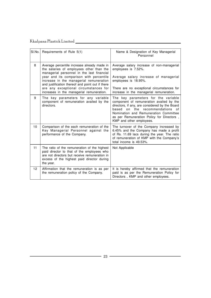| SI.No. | Requirements of Rule 5(1)                                                                                                                                                                                                                                                                                                                                             | Name & Designation of Key Managerial<br>Personnel                                                                                                                                                                                                                                         |
|--------|-----------------------------------------------------------------------------------------------------------------------------------------------------------------------------------------------------------------------------------------------------------------------------------------------------------------------------------------------------------------------|-------------------------------------------------------------------------------------------------------------------------------------------------------------------------------------------------------------------------------------------------------------------------------------------|
| 8      | Average percentile increase already made in<br>the salaries of employees other than the<br>managerial personnel in the last financial<br>year and its comparison with percentile<br>increase in the managerial remuneration<br>and justification thereof and point out if there<br>are any exceptional circumstances for<br>increases in the managerial remuneration. | Average salary increase of non-managerial<br>employees is 7.52%.<br>Average salary increase of managerial<br>employees is 18.95%.<br>There are no exceptional circumstances for<br>increase in the managerial remuneration.                                                               |
| 9      | The key parameters for any variable<br>component of remuneration availed by the<br>directors.                                                                                                                                                                                                                                                                         | The key parameters for the variable<br>component of remuneration availed by the<br>directors, if any, are considered by the Board<br>based on the recommendations<br>of<br>Nomination and Remuneration Committee<br>as per Remuneration Policy for Directors,<br>KMP and other employees. |
| 10     | Comparison of the each remuneration of the<br>Key Managerial Personnel against the<br>performance of the Company.                                                                                                                                                                                                                                                     | The turnover of the Company increased by<br>6.45% and the Company has made a profit<br>of Rs. 11.69 lacs during the year. The ratio<br>of remuneration of KMP with the Company's<br>total income is 49.53%.                                                                               |
| 11     | The ratio of the remuneration of the highest<br>paid director to that of the employees who<br>are not directors but receive remuneration in<br>excess of the highest paid director during<br>the year.                                                                                                                                                                | Not Applicable                                                                                                                                                                                                                                                                            |
| 12     | Affirmation that the remuneration is as per<br>the remuneration policy of the Company.                                                                                                                                                                                                                                                                                | It is hereby affirmed that the remuneration<br>paid is as per the Remuneration Policy for<br>Directors, KMP and other employees.                                                                                                                                                          |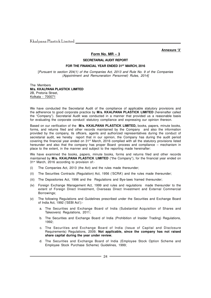**Annexure '3'**

#### **Form No. MR – 3**

#### **SECRETARIAL AUDIT REPORT**

#### **FOR THE FINANCIAL YEAR ENDED 31ST MARCH, 2016**

[Pursuant to section 204(1) of the Companies Act, 2013 and Rule No. 9 of the Companies (Appointment and Remuneration Personnel) Rules, 2014]

The Members **M/s. KKALPANA PLASTICK LIMITED** 2B, Pretoria Street, Kolkata - 700071

We have conducted the Secretarial Audit of the compliance of applicable statutory provisions and the adherence to good corporate practice by **M/s. KKALPANA PLASTICK LIMITED** (hereinafter called the "Company"). Secretarial Audit was conducted in a manner that provided us a reasonable basis for evaluating the corporate conduct/ statutory compliance and expressing our opinion thereon.

Based on our verification of the **M/s. KKALPANA PLASTICK LIMITED,** books, papers, minute books, forms, and returns filed and other records maintained by the Company and also the information provided by the company, its officers, agents and authorized representatives during the conduct of secretarial audit, we hereby report that in our opinion, the Company has during the audit period covering the financial year ended on 31<sup>st</sup> March, 2016 complied with all the statutory provisions listed hereunder and also that the company has proper Board -process and compliance – mechanism in place to the extent, in the manner and subject to the reporting made hereinafter:

We have examined the books, papers, minute books, forms and returns filed and other records maintained by **M/s. KKALPANA PLASTICK LIMITED** ("the Company"), for the financial year ended on 31<sup>st</sup> March, 2016 according to provision of:-

- (i) The Companies Act, 2013 (the Act) and the rules made thereunder;
- (ii) The Securities Contracts (Regulation) Act, 1956 ('SCRA') and the rules made thereunder;
- (iii) The Depositories Act, 1996 and the Regulations and Bye-laws framed thereunder;
- (iv) Foreign Exchange Management Act, 1999 and rules and regulations made thereunder to the extent of Foreign Direct Investment, Overseas Direct Investment and External Commercial Borrowings;
- (v) The following Regulations and Guidelines prescribed under the Securities and Exchange Board of India Act, 1992 ('SEBI Act'):
	- a. The Securities and Exchange Board of India (Substantial Acquisition of Shares and Takeovers) Regulations, 2011;
	- b. The Securities and Exchange Board of India (Prohibition of Insider Trading) Regulations, 1992;
	- c. The Securities and Exchange Board of India (Issue of Capital and Disclosure Requirements) Regulations, 2009; **Not applicable, since the company has not raised share capital during the year under review.**
	- d. The Securities and Exchange Board of India (Employee Stock Option Scheme and Employee Stock Purchase Scheme) Guidelines, 1999;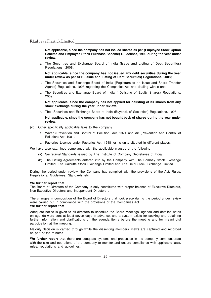**Not applicable, since the company has not issued shares as per (Employee Stock Option Scheme and Employee Stock Purchase Scheme) Guidelines, 1999 during the year under review.**

e. The Securities and Exchange Board of India (Issue and Listing of Debt Securities) Regulations, 2008;

**Not applicable, since the company has not issued any debt securities during the year under review as per SEBI(Issue and Listing of Debt Securities) Regulations, 2008;**

- f. The Securities and Exchange Board of India (Registrars to an Issue and Share Transfer Agents) Regulations, 1993 regarding the Companies Act and dealing with client;
- g. The Securities and Exchange Board of India ( Delisting of Equity Shares) Regulations, 2009;

**Not applicable, since the company has not applied for delisting of its shares from any stock exchange during the year under review.**

h. The Securities and Exchange Board of India (Buyback of Securities) Regulations, 1998;

**Not applicable, since the company has not bought back of shares during the year under review.**

- (vi) Other specifically applicable laws to the company.
	- a. Water (Prevention and Control of Pollution) Act, 1974 and Air (Prevention And Control of Pollution) Act, 1981,
	- b. Factories License under Factories Act, 1948 for its units situated in different places.

We have also examined compliance with the applicable clauses of the following:-

- (a) Secretarial Standards issued by The Institute of Company Secretaries of India.
- (b) The Listing Agreements entered into by the Company with The Bombay Stock Exchange Limited, The Calcutta Stock Exchange Limited and The Delhi Stock Exchange Limited.

During the period under review, the Company has complied with the provisions of the Act, Rules, Regulations, Guidelines, Standards etc.

#### **We further report that**

The Board of Directors of the Company is duly constituted with proper balance of Executive Directors, Non-Executive Directors and Independent Directors .

The changes in composition of the Board of Directors that took place during the period under review were carried out in compliance with the provisions of the Companies Act. **We further report that**

Adequate notice is given to all directors to schedule the Board Meetings, agenda and detailed notes on agenda were sent at least seven days in advance, and a system exists for seeking and obtaining further information and clarifications on the agenda items before the meeting and for meaningful participation at the meeting.

Majority decision is carried through while the dissenting members' views are captured and recorded as part of the minutes.

**We further report that** there are adequate systems and processes in the company commensurate with the size and operations of the company to monitor and ensure compliance with applicable laws, rules, regulations and guidelines.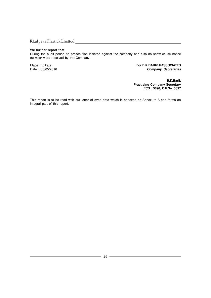#### **We further report that**

During the audit period no prosecution initiated against the company and also no show cause notice (s) was/ were received by the Company.

Place: Kolkata **For B.K.BARIK &ASSOCIATES**<br>Date : 30/05/2016 **For B.K.BARIK &ASSOCIATES Company Secretaries** 

> **B.K.Barik Practising Company Secretary FCS : 5696, C.P.No. 3897**

This report is to be read with our letter of even date which is annexed as Annexure A and forms an integral part of this report.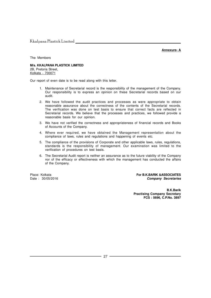**Annexure- A**

The Members

#### **M/s. KKALPANA PLASTICK LIMITED**

2B, Pretoria Street, Kolkata - 700071

Our report of even date is to be read along with this letter.

- 1. Maintenance of Secretarial record is the responsibility of the management of the Company. Our responsibility is to express an opinion on these Secretarial records based on our audit.
- 2. We have followed the audit practices and processes as were appropriate to obtain reasonable assurance about the correctness of the contents of the Secretarial records. The verification was done on test basis to ensure that correct facts are reflected in Secretarial records. We believe that the processes and practices, we followed provide a reasonable basis for our opinion.
- 3. We have not verified the correctness and appropriateness of financial records and Books of Accounts of the Company.
- 4. Where ever required, we have obtained the Management representation about the compliance of laws, rules and regulations and happening of events etc.
- 5. The compliance of the provisions of Corporate and other applicable laws, rules, regulations, standards is the responsibility of management. Our examination was limited to the verification of procedures on test basis.
- 6. The Secretarial Audit report is neither an assurance as to the future viability of the Company nor of the efficacy or effectiveness with which the management has conducted the affairs of the Company.

Place: Kolkata **For B.K.BARIK &ASSOCIATES** Date : 30/05/2016 **Company Secretaries**

> **B.K.Barik Practising Company Secretary FCS : 5696, C.P.No. 3897**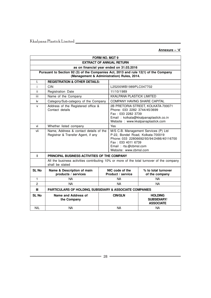#### **Annexure – '4'**

| FORM NO. MGT 9 |                                                                                                                                                                                                                                 |  |                                                                                                                                                                                               |                                                          |  |  |  |
|----------------|---------------------------------------------------------------------------------------------------------------------------------------------------------------------------------------------------------------------------------|--|-----------------------------------------------------------------------------------------------------------------------------------------------------------------------------------------------|----------------------------------------------------------|--|--|--|
|                | <b>EXTRACT OF ANNUAL RETURN</b>                                                                                                                                                                                                 |  |                                                                                                                                                                                               |                                                          |  |  |  |
|                |                                                                                                                                                                                                                                 |  | as on financial year ended on 31.03.2016                                                                                                                                                      |                                                          |  |  |  |
|                | Pursuant to Section 92 (3) of the Companies Act, 2013 and rule 12(1) of the Company<br>(Management & Administration) Rules, 2014.                                                                                               |  |                                                                                                                                                                                               |                                                          |  |  |  |
| I.             | <b>REGISTRATION &amp; OTHER DETAILS:</b>                                                                                                                                                                                        |  |                                                                                                                                                                                               |                                                          |  |  |  |
| i.             | <b>CIN</b>                                                                                                                                                                                                                      |  | L25200WB1989PLC047702                                                                                                                                                                         |                                                          |  |  |  |
| ii.            | <b>Registration Date</b>                                                                                                                                                                                                        |  | 11/10/1989                                                                                                                                                                                    |                                                          |  |  |  |
| iii            | Name of the Company                                                                                                                                                                                                             |  | <b>KKALPANA PLASTICK LIMITED</b>                                                                                                                                                              |                                                          |  |  |  |
| iv             | Category/Sub-category of the Company                                                                                                                                                                                            |  | COMPANY HAVING SHARE CAPITAL                                                                                                                                                                  |                                                          |  |  |  |
| v              | Address of the Registered office &<br>2B PRETORIA STREET, KOLKATA-700071<br>Contact details<br>Phone: 033 2282 3744/45/3699<br>Fax: 033 2282 3739<br>Email: kolkata@kkalpanaplastick.co.in<br>Website: www.kkalpanaplastick.com |  |                                                                                                                                                                                               |                                                          |  |  |  |
| vi             | Yes<br>Whether listed company                                                                                                                                                                                                   |  |                                                                                                                                                                                               |                                                          |  |  |  |
| vii            | Name, Address & contact details of the<br>Registrar & Transfer Agent, if any                                                                                                                                                    |  | M/S C.B. Management Services (P) Ltd<br>P-22, Bondel Road, Kolkata-700019<br>Phone: 033 22806692/93/94/2486/40116700<br>Fax: 033 4011 6739<br>Email: rta.@cbmsl.com<br>Website: www.cbmsl.com |                                                          |  |  |  |
| Ш              | PRINCIPAL BUSINESS ACTIVITIES OF THE COMPANY                                                                                                                                                                                    |  |                                                                                                                                                                                               |                                                          |  |  |  |
|                | All the business activities contributing 10% or more of the total turnover of the company<br>shall be stated                                                                                                                    |  |                                                                                                                                                                                               |                                                          |  |  |  |
| SL No          | Name & Description of main<br>products / services                                                                                                                                                                               |  | NIC code of the<br>Product / service                                                                                                                                                          | % to total turnover<br>of the company                    |  |  |  |
| 1              | <b>NA</b>                                                                                                                                                                                                                       |  | <b>NA</b>                                                                                                                                                                                     | <b>NA</b>                                                |  |  |  |
| $\overline{2}$ | <b>NA</b>                                                                                                                                                                                                                       |  | <b>NA</b>                                                                                                                                                                                     | <b>NA</b>                                                |  |  |  |
| Ш              | PARTICULARS OF HOLDING, SUBSIDIARY & ASSOCIATE COMPANIES                                                                                                                                                                        |  |                                                                                                                                                                                               |                                                          |  |  |  |
| <b>SL No</b>   | Name and Address of<br>the Company                                                                                                                                                                                              |  | <b>CIN/GLN</b>                                                                                                                                                                                | <b>HOLDING</b><br><b>SUBSIDIARY/</b><br><b>ASSOCIATE</b> |  |  |  |
| <b>NIL</b>     | <b>NA</b>                                                                                                                                                                                                                       |  | <b>NA</b>                                                                                                                                                                                     | <b>NA</b>                                                |  |  |  |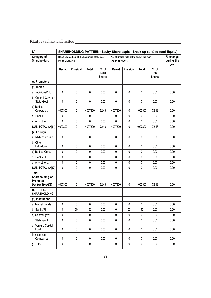| M                                                                  | SHAREHOLDING PATTERN (Equity Share capital Break up as % to total Equity)                                                                |          |              |                                |              |              |              |                                         |      |
|--------------------------------------------------------------------|------------------------------------------------------------------------------------------------------------------------------------------|----------|--------------|--------------------------------|--------------|--------------|--------------|-----------------------------------------|------|
| Category of<br><b>Shareholders</b>                                 | No. of Shares held at the beginning of the year<br>No. of Shares held at the end of the year<br>(As on 01.04.2015)<br>(As on 31.03.2016) |          |              | % change<br>during the<br>year |              |              |              |                                         |      |
|                                                                    | Demat                                                                                                                                    | Physical | Total        | $%$ of<br>Total<br>Shares      | <b>Demat</b> | Physical     | <b>Total</b> | $%$ of<br><b>Total</b><br><b>Shares</b> |      |
| A. Promoters                                                       |                                                                                                                                          |          |              |                                |              |              |              |                                         |      |
| $(1)$ Indian                                                       |                                                                                                                                          |          |              |                                |              |              |              |                                         |      |
| a) Individual/HUF                                                  | $\mathbf{0}$                                                                                                                             | 0        | $\mathbf{0}$ | 0.00                           | $\mathbf{0}$ | 0            | $\mathbf{0}$ | 0.00                                    | 0.00 |
| b) Central Govt. or<br>State Govt.                                 | 0                                                                                                                                        | 0        | 0            | 0.00                           | 0            | 0            | 0            | 0.00                                    | 0.00 |
| c) Bodies<br>Corporates                                            | 4007300                                                                                                                                  | 0        | 4007300      | 72.48                          | 4007300      | 0            | 4007300      | 72.48                                   | 0.00 |
| d) Bank/FI                                                         | 0                                                                                                                                        | 0        | 0            | 0.00                           | 0            | 0            | 0            | 0.00                                    | 0.00 |
| e) Any other                                                       | 0                                                                                                                                        | 0        | 0            | 0.00                           | 0            | 0            | 0            | 0.00                                    | 0.00 |
| SUB TOTAL:(A)(1)                                                   | 4007300                                                                                                                                  | 0        | 4007300      | 72.48                          | 4007300      | 0            | 4007300      | 72.48                                   | 0.00 |
| (2) Foreign                                                        |                                                                                                                                          |          |              |                                |              |              |              |                                         |      |
| a) NRI-Individuals                                                 | 0                                                                                                                                        | 0        | $\mathbf{0}$ | 0.00                           | $\mathbf{0}$ | 0            | $\mathbf{0}$ | 0.00                                    | 0.00 |
| b) Other<br>Individuals                                            | 0                                                                                                                                        | 0        | 0            | 0.00                           | 0            | 0            | 0            | 0.00                                    | 0.00 |
| c) Bodies Corp.                                                    | 0                                                                                                                                        | 0        | $\mathbf 0$  | 0.00                           | 0            | 0            | $\mathbf{0}$ | 0.00                                    | 0.00 |
| d) Banks/FI                                                        | 0                                                                                                                                        | 0        | $\mathbf 0$  | 0.00                           | 0            | $\mathbf{0}$ | $\mathbf{0}$ | 0.00                                    | 0.00 |
| e) Any other                                                       | 0                                                                                                                                        | 0        | $\mathbf{0}$ | 0.00                           | 0            | 0            | $\mathbf{0}$ | 0.00                                    | 0.00 |
| SUB TOTAL:(A)(2)                                                   | 0                                                                                                                                        | 0        | $\mathbf 0$  | 0.00                           | $\mathbf 0$  | 0            | 0            | 0.00                                    | 0.00 |
| <b>Total</b><br>Shareholding of<br>Promoter<br>$(A)=(A)(1)+(A)(2)$ | 4007300                                                                                                                                  | 0        | 4007300      | 72.48                          | 4007300      | 0            | 4007300      | 72.48                                   | 0.00 |
| <b>B. PUBLIC</b><br><b>SHAREHOLDING</b>                            |                                                                                                                                          |          |              |                                |              |              |              |                                         |      |
| (1) Institutions                                                   |                                                                                                                                          |          |              |                                |              |              |              |                                         |      |
| a) Mutual Funds                                                    | 0                                                                                                                                        | 0        | $\mathbf{0}$ | 0.00                           | 0            | 0            | 0            | 0.00                                    | 0.00 |
| b) Banks/FI                                                        | 0                                                                                                                                        | $50\,$   | $50\,$       | 0.00                           | $\pmb{0}$    | $50\,$       | $50\,$       | 0.00                                    | 0.00 |
| c) Central govt.                                                   | 0                                                                                                                                        | 0        | $\pmb{0}$    | 0.00                           | 0            | $\pmb{0}$    | $\pmb{0}$    | 0.00                                    | 0.00 |
| d) State Govt.                                                     | 0                                                                                                                                        | 0        | $\pmb{0}$    | 0.00                           | $\pmb{0}$    | $\pmb{0}$    | $\pmb{0}$    | 0.00                                    | 0.00 |
| e) Venture Capital<br>Fund                                         | 0                                                                                                                                        | 0        | $\pmb{0}$    | 0.00                           | $\pmb{0}$    | 0            | $\pmb{0}$    | 0.00                                    | 0.00 |
| f) Insurance<br>Companies                                          | 0                                                                                                                                        | 0        | 0            | 0.00                           | $\pmb{0}$    | 0            | 0            | 0.00                                    | 0.00 |
| g) FIIS                                                            | 0                                                                                                                                        | 0        | $\pmb{0}$    | 0.00                           | $\pmb{0}$    | $\pmb{0}$    | $\pmb{0}$    | 0.00                                    | 0.00 |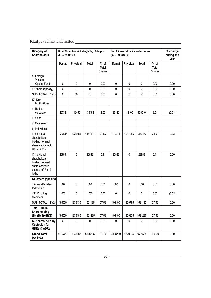| Category of<br><b>Shareholders</b>                                                                | No. of Shares held at the beginning of the year<br>(As on 01.04.2015) |          |              | No. of Shares held at the end of the year<br>(As on 31.03.2016) |             |          | % change<br>during the<br>year |                                         |        |
|---------------------------------------------------------------------------------------------------|-----------------------------------------------------------------------|----------|--------------|-----------------------------------------------------------------|-------------|----------|--------------------------------|-----------------------------------------|--------|
|                                                                                                   | Demat                                                                 | Physical | Total        | $%$ of<br><b>Total</b><br><b>Shares</b>                         | Demat       | Physical | <b>Total</b>                   | $%$ of<br><b>Total</b><br><b>Shares</b> |        |
| h) Foreign<br>Venture<br>Capital Funds                                                            | 0                                                                     | 0        | 0            | 0.00                                                            | 0           | 0        | 0                              | 0.00                                    | 0.00   |
| i) Others (specify)                                                                               | 0                                                                     | 0        | $\mathbf{0}$ | 0.00                                                            | 0           | 0        | $\mathbf{0}$                   | 0.00                                    | 0.00   |
| SUB TOTAL (B)(1)                                                                                  | 0                                                                     | 50       | 50           | 0.00                                                            | 0           | 50       | 50                             | 0.00                                    | 0.00   |
| $(2)$ Non<br><b>Institutions</b>                                                                  |                                                                       |          |              |                                                                 |             |          |                                |                                         |        |
| a) Bodies<br>corporate                                                                            | 26732                                                                 | 112450   | 139182       | 2.52                                                            | 26140       | 112400   | 138540                         | 2.51                                    | (0.01) |
| i) Indian                                                                                         |                                                                       |          |              |                                                                 |             |          |                                |                                         |        |
| ii) Overseas                                                                                      |                                                                       |          |              |                                                                 |             |          |                                |                                         |        |
| b) Individuals                                                                                    |                                                                       |          |              |                                                                 |             |          |                                |                                         |        |
| i) Individual<br>shareholders<br>holding nominal<br>share capital upto<br>Rs. 2 lakhs             | 135129                                                                | 1222685  | 1357814      | 24.56                                                           | 142071      | 1217385  | 1359456                        | 24.59                                   | 0.03   |
| ii) Individual<br>shareholders<br>holding nominal<br>share capital in<br>excess of Rs. 2<br>lakhs | 22889                                                                 | 0        | 22889        | 0.41                                                            | 22889       | 0        | 22889                          | 0.41                                    | 0.00   |
| C) Others (specify)                                                                               |                                                                       |          |              |                                                                 |             |          |                                |                                         |        |
| c)i) Non-Resident<br>Individuals                                                                  | 300                                                                   | 0        | 300          | 0.01                                                            | 300         | 0        | 300                            | 0.01                                    | 0.00   |
| c)ii) Clearing<br><b>Members</b>                                                                  | 1000                                                                  | 0        | 1000         | 0.02                                                            | $\mathbf 0$ | 0        | $\mathbf{0}$                   | 0.00                                    | (0.02) |
| SUB TOTAL (B)(2)                                                                                  | 186050                                                                | 1335135  | 1521185      | 27.52                                                           | 191400      | 1329785  | 1521185                        | 27.52                                   | 0.00   |
| <b>Total Public</b><br>Shareholding<br>$(B)=(B)(1)+(B)(2)$                                        | 186050                                                                | 1335185  | 1521235      | 27.52                                                           | 191400      | 1329835  | 1521235                        | 27.52                                   | 0.00   |
| C. Shares held by<br><b>Custodian for</b><br><b>GDRs &amp; ADRs</b>                               | 0                                                                     | 0        | 0            | 0.00                                                            | 0           | 0        | 0                              | 0.00                                    | 0.00   |
| <b>Grand Total</b><br>$(A+B+C)$                                                                   | 4193350                                                               | 1335185  | 5528535      | 100.00                                                          | 4198700     | 1329835  | 5528535                        | 100.00                                  | 0.00   |

 $\sim$  30  $\sim$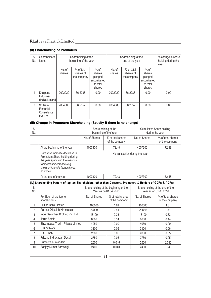#### **(ii) Shareholding of Promoters**

| SI<br>No. | <b>Shareholders</b><br>Name                      | Shareholding at the<br>beginning of the year |                                        |                                                                 | Shareholding at the<br>end of the year | % change in share<br>holding during the<br>year |                                                                 |      |
|-----------|--------------------------------------------------|----------------------------------------------|----------------------------------------|-----------------------------------------------------------------|----------------------------------------|-------------------------------------------------|-----------------------------------------------------------------|------|
|           |                                                  | No. of<br>shares                             | % of total<br>shares of<br>the company | $%$ of<br>shares<br>pledged<br>encumbered<br>to total<br>shares | No. of<br>shares                       | % of total<br>shares of<br>the company          | $%$ of<br>shares<br>pledged<br>encumbered<br>to total<br>shares |      |
| 1         | Kkalpana<br>Industries<br>(India) Limited        | 2002920                                      | 36.2288                                | 0.00                                                            | 2002920                                | 36.2288                                         | 0.00                                                            | 0.00 |
| 2         | Sri Ram<br>Financial<br>Consultants<br>Pvt. Ltd. | 2004380                                      | 36.2552                                | 0.00                                                            | 2004380                                | 36.2552                                         | 0.00                                                            | 0.00 |

#### **(iii) Change in Promoters Shareholding (Specify if there is no change)**

| SI<br>No. |                                                                                                                                                                                      |                                                      | Share holding at the<br>beginning of the Year | Cumulative Share holding<br>during the year |                                     |  |
|-----------|--------------------------------------------------------------------------------------------------------------------------------------------------------------------------------------|------------------------------------------------------|-----------------------------------------------|---------------------------------------------|-------------------------------------|--|
|           |                                                                                                                                                                                      | No. of Shares<br>% of total shares<br>of the company |                                               | No. of Shares                               | % of total shares<br>of the company |  |
|           | At the beginning of the year                                                                                                                                                         | 4007300                                              | 72.48                                         | 4007300                                     | 72.48                               |  |
|           | Date wise increase/decrease in<br>Promoters Share holding during<br>the year specifying the reasons<br>for increase/decrease (e.g.<br>allotment/transfer/bonus/sweat<br>equity etc.) | No transaction during the year.                      |                                               |                                             |                                     |  |
|           | At the end of the year                                                                                                                                                               | 4007300                                              | 72.48                                         | 4007300                                     | 72.48                               |  |

#### **(iv) Shareholding Pattern of top ten Shareholders (other than Directors, Promoters & Holders of GDRs & ADRs)**

| SI<br>No.      |                                         |               | Share holding at the beginning of the<br>Year as on 01.04.2015 | Share holding at the end of the<br>Year as on 31,03,2016 |                                     |
|----------------|-----------------------------------------|---------------|----------------------------------------------------------------|----------------------------------------------------------|-------------------------------------|
|                | For Each of the top ten<br>shareholders | No. of Shares | % of total shares<br>of the company                            | No. of Shares                                            | % of total shares<br>of the company |
|                | Sikkim Bank Limited                     | 100000        | 1.81                                                           | 100000                                                   | 1.81                                |
| $\overline{2}$ | Parmar Dilipsinh Himmatsinh             | 22889         | 0.41                                                           | 22889                                                    | 0.41                                |
| 3              | India Securities Broking Pvt. Ltd.      | 18100         | 0.33                                                           | 18100                                                    | 0.33                                |
| 4              | Tarun Sethia                            | 8000          | 0.14                                                           | 8000                                                     | 0.14                                |
| 5              | Shyambaba Trexim Private Limited        | 4950          | 0.09                                                           | 4950                                                     | 0.09                                |
| 6              | S.B. Vithlani                           | 3100          | 0.06                                                           | 3100                                                     | 0.06                                |
| 7              | R.C. Shah                               | 2800          | 0.05                                                           | 2800                                                     | 0.05                                |
| 8              | Priyang Indravadan Desai                | 2750          | 0.05                                                           | 2750                                                     | 0.05                                |
| 9              | Surendra Kumar Jain                     | 2500          | 0.045                                                          | 2500                                                     | 0.045                               |
| 10             | Sanjay Kumar Sarawagi                   | 2400          | 0.043                                                          | 2400                                                     | 0.043                               |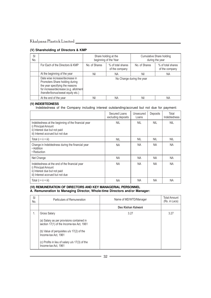#### **(V) Shareholding of Directors & KMP**

| SI<br>No. |                                                                                                                                                                                    | Share holding at the<br>beginning of the Year |                                     | Cumulative Share holding<br>during the year |                                     |
|-----------|------------------------------------------------------------------------------------------------------------------------------------------------------------------------------------|-----------------------------------------------|-------------------------------------|---------------------------------------------|-------------------------------------|
|           | For Each of the Directors & KMP                                                                                                                                                    | No. of Shares                                 | % of total shares<br>of the company | No. of Shares                               | % of total shares<br>of the company |
|           | At the beginning of the year                                                                                                                                                       | Nil                                           | <b>NA</b>                           | Nil                                         | <b>NA</b>                           |
|           | Date wise increase/decrease in<br>Promoters Share holding during<br>the year specifying the reasons<br>for increase/decrease (e.g. allotment<br>/transfer/bonus/sweat equity etc.) |                                               |                                     | No Change during the year                   |                                     |
|           | At the end of the year                                                                                                                                                             | Nil                                           | <b>NA</b>                           | Nil                                         | <b>NA</b>                           |

#### **(V) INDEBTEDNESS**

Indebtedness of the Company including interest outstanding/accrued but not due for payment:

|                                                                                                                                                  | Secured Loans<br>excluding deposits | Unsecured<br>Loans | Deposits   | Total<br>Indebtedness |
|--------------------------------------------------------------------------------------------------------------------------------------------------|-------------------------------------|--------------------|------------|-----------------------|
| Indebtedness at the beginning of the financial year<br>i) Principal Amount<br>ii) Interest due but not paid<br>iii) Interest accrued but not due | <b>NIL</b>                          | <b>NIL</b>         | <b>NIL</b> | <b>NIL</b>            |
| Total $(i + ii + iii)$                                                                                                                           | <b>NIL</b>                          | <b>NIL</b>         | <b>NIL</b> | <b>NIL</b>            |
| Change in Indebtedness during the financial year<br>• Addition<br>• Reduction                                                                    | NA.                                 | <b>NA</b>          | <b>NA</b>  | <b>NA</b>             |
| Net Change                                                                                                                                       | <b>NA</b>                           | <b>NA</b>          | <b>NA</b>  | <b>NA</b>             |
| Indebtedness at the end of the financial year<br>i) Principal Amount<br>ii) Interest due but not paid<br>iii) Interest accrued but not due       | <b>NA</b>                           | <b>NA</b>          | <b>NA</b>  | <b>NA</b>             |
| Total $(i + ii + iii)$                                                                                                                           | <b>NA</b>                           | <b>NA</b>          | <b>NA</b>  | <b>NA</b>             |

#### **(VI) REMUNERATION OF DIRECTORS AND KEY MANAGERIAL PERSONNEL A. Remuneration to Managing Director, Whole-time Directors and/or Manager:**

| SI<br>No. | Particulars of Remuneration                                                            | Name of MD/WTD/Manager | <b>Total Amount</b><br>(Rs. in Lacs) |
|-----------|----------------------------------------------------------------------------------------|------------------------|--------------------------------------|
|           |                                                                                        | Deo Kishan Kalwani     |                                      |
| 1.        | Gross Salary                                                                           | 3.27                   | 3.27                                 |
|           | (a) Salary as per provisions contained in<br>section 17(1) of the Income-tax Act, 1961 |                        |                                      |
|           | (b) Value of perquisites u/s 17(2) of the<br>Income-tax Act, 1961                      |                        |                                      |
|           | (c) Profits in lieu of salary u/s 17(3) of the<br>Income-tax Act, 1961                 |                        |                                      |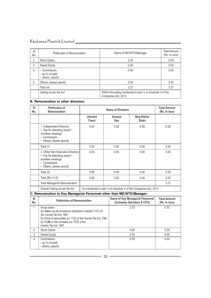| SI<br>No. | Particulars of Remuneration                             | Name of MD/WTD/Manager                                                               | <b>Total Amount</b><br>(Rs. in Lacs) |
|-----------|---------------------------------------------------------|--------------------------------------------------------------------------------------|--------------------------------------|
| 2.        | Stock Option                                            | 0.00                                                                                 | 0.00                                 |
| 3.        | <b>Sweat Equity</b>                                     | 0.00                                                                                 | 0.00                                 |
| 4.        | - Commission<br>$-$ as % of profit<br>- others, specify | 0.00                                                                                 | 0.00                                 |
| 5.        | Others, please specify                                  | 0.00                                                                                 | 0.00                                 |
|           | Total (A)                                               | 3.27                                                                                 | 3.27                                 |
|           | Ceiling as per the Act                                  | Within the ceiling mentioned in part -ii of schedule V of the<br>Companies Act, 2013 |                                      |

#### **B. Remuneration to other directors:**

| <b>SI</b><br>No. | Particulars of<br>Remuneration                                                                                                                         | Name of Directors                |                                                                   |                                    | <b>Total Amount</b><br>(Rs. In lacs) |
|------------------|--------------------------------------------------------------------------------------------------------------------------------------------------------|----------------------------------|-------------------------------------------------------------------|------------------------------------|--------------------------------------|
|                  |                                                                                                                                                        | <b>Jitendra</b><br><b>Tiwari</b> | Ananya<br>Dey                                                     | <b>Braj Kishor</b><br><b>Shahi</b> |                                      |
|                  | 1. Independent Directors<br>• Fee for attending board /<br>comittee meetings<br>Commission<br>$\bullet$<br>Others, please specify<br>$\bullet$         | 0.00                             | 0.00                                                              | 0.00                               | 0.00                                 |
|                  | Total (1)                                                                                                                                              | 0.00                             | 0.00                                                              | 0.00                               | 0.00                                 |
|                  | 2. Other Non-Executive Directors<br>• Fee for attending board /<br>comittee meetings<br>Commission<br>$\bullet$<br>Others, please specify<br>$\bullet$ | 0.00                             | 0.00                                                              | 0.00                               | 0.00                                 |
|                  | Total (2)                                                                                                                                              | 0.00                             | 0.00                                                              | 0.00                               | 0.00                                 |
|                  | Total $(B)=(1+2)$                                                                                                                                      | 0.00                             | 0.00                                                              | 0.00                               | 0.00                                 |
|                  | <b>Total Managerial Remuneration</b>                                                                                                                   |                                  |                                                                   |                                    | 3.27                                 |
|                  | Overall Ceiling as per the Act                                                                                                                         |                                  | As mentioned in part -ii of schedule V of the Companies Act, 2013 |                                    |                                      |

#### **C. Remuneration to Key Managerial Personnel other than MD/WTD/Manager:**

| <b>SI</b><br>No. | <b>Particulars of Remuneration</b>                                                                                                                                                                                                                  | Name of Key Managerial Personnel<br>(Company Secretary & CFO) | <b>Total Amount</b><br>(Rs. In lacs) |
|------------------|-----------------------------------------------------------------------------------------------------------------------------------------------------------------------------------------------------------------------------------------------------|---------------------------------------------------------------|--------------------------------------|
| 1.               | Gross salary<br>(a) Salary as per provisions contained in section 17(1) of<br>the Income Tax Act. 1961.<br>(b) Value of perquisites u/s 17(2) of the Income Tax Act, 1961<br>(c) Profits in lieu of salary u/s 17(3) of the<br>Income Tax Act, 1961 | 2.52                                                          | 2.52                                 |
| 2.               | <b>Stock Option</b>                                                                                                                                                                                                                                 | 0.00                                                          | 0.00                                 |
| 3.               | <b>Sweat Equity</b>                                                                                                                                                                                                                                 | 0.00                                                          | 0.00                                 |
| 4.               | Commission<br>- as % of profit<br>- others, specify                                                                                                                                                                                                 | 0.00                                                          | 0.00                                 |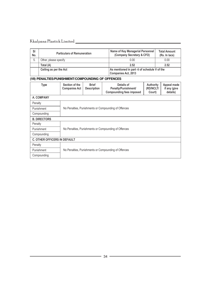| SI<br>No.                                                                                |                        | <b>Particulars of Remuneration</b> |  |                   | Name of Key Managerial Personnel<br>(Company Secretary & CFO)               |  | <b>Total Amount</b><br>(Rs. In lacs) |
|------------------------------------------------------------------------------------------|------------------------|------------------------------------|--|-------------------|-----------------------------------------------------------------------------|--|--------------------------------------|
| 5.                                                                                       | Other, please specify  |                                    |  |                   | 0.00                                                                        |  | 0.00                                 |
|                                                                                          | Total (A)              |                                    |  | 2.52<br>2.52      |                                                                             |  |                                      |
|                                                                                          | Ceiling as per the Act |                                    |  |                   | As mentioned in part -ii of schedule V of the<br><b>Companies Act, 2013</b> |  |                                      |
| (VII) PENALTIES/PUNISHMENT/COMPOUNDING OF OFFENCES                                       |                        |                                    |  |                   |                                                                             |  |                                      |
| A cotto a attori-<br>Constitution of the a<br>Data C<br>$D = 4 + 11 = 16$<br><b>T.</b> . |                        |                                    |  | الملاحمة الممسمية |                                                                             |  |                                      |

| <b>Type</b>                         | Section of the<br><b>Companies Act</b>               | <b>Brief</b><br><b>Description</b> | Details of<br>Penalty/Punishment/<br><b>Compounding fees imposed</b> | <b>Authority</b><br>(RD/NCLT/<br>Court) | Appeal made<br>if any (give<br>details) |  |
|-------------------------------------|------------------------------------------------------|------------------------------------|----------------------------------------------------------------------|-----------------------------------------|-----------------------------------------|--|
| A. COMPANY                          |                                                      |                                    |                                                                      |                                         |                                         |  |
| Penalty                             |                                                      |                                    |                                                                      |                                         |                                         |  |
| Punishment                          |                                                      |                                    | No Penalties, Punishments or Compounding of Offences                 |                                         |                                         |  |
| Compounding                         |                                                      |                                    |                                                                      |                                         |                                         |  |
| <b>B. DIRECTORS</b>                 |                                                      |                                    |                                                                      |                                         |                                         |  |
| Penalty                             |                                                      |                                    |                                                                      |                                         |                                         |  |
| Punishment                          |                                                      |                                    | No Penalties, Punishments or Compounding of Offences                 |                                         |                                         |  |
| Compounding                         |                                                      |                                    |                                                                      |                                         |                                         |  |
| <b>C. OTHER OFFICERS IN DEFAULT</b> |                                                      |                                    |                                                                      |                                         |                                         |  |
| Penalty                             |                                                      |                                    |                                                                      |                                         |                                         |  |
| Punishment                          | No Penalties, Punishments or Compounding of Offences |                                    |                                                                      |                                         |                                         |  |
| Compounding                         |                                                      |                                    |                                                                      |                                         |                                         |  |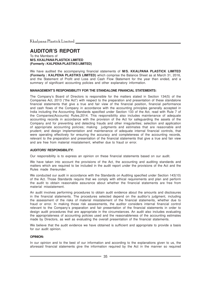# **AUDITOR'S REPORT**

#### To the Members of **M/S. KKALPANA PLASTICK LIMITED (Formerly : KALPENA PLASTIKS LIMITED)**

We have audited the accompanying financial statements of **M/S. KKALPANA PLASTICK LIMITED (Formerly : KALPENA PLASTIKS LIMITED)** which comprise the Balance Sheet as at March 31, 2016, and the Statement of Profit and Loss and Cash Flow Statement for the year then ended, and a summary of significant accounting policies and other explanatory information.

#### **MANAGEMENT'S RESPONSIBILITY FOR THE STANDALONE FINANCIAL STATEMENTS:**

The Company's Board of Directors is responsible for the matters stated in Section 134(5) of the Companies Act, 2013 ("the Act") with respect to the preparation and presentation of these standalone financial statements that give a true and fair view of the financial position, financial performance and cash flows of the Company in accordance with the accounting principles generally accepted in India including the Accounting Standards specified under Section 133 of the Act, read with Rule 7 of the Companies(Accounts) Rules,2014. This responsibility also includes maintenance of adequate accounting records in accordance with the provision of the Act for safeguarding the assets of the Company and for preventing and detecting frauds and other irregularities; selection and application of appropriate accounting policies; making judgments and estimates that are reasonable and prudent; and design implementation and maintenance of adequate internal financial controls, that were operating effectively for ensuring the accuracy and completeness of the accounting records, relevant to the preparation and presentation of the financial statements that give a true and fair view and are free from material misstatement, whether due to fraud or error.

#### **AUDITORS' RESPONSIBILITY:**

Our responsibility is to express an opinion on these financial statements based on our audit.

We have taken into account the provisions of the Act, the accounting and auditing standards and matters which are required to be included in the audit report under the provisions of the Act and the Rules made thereunder.

We conducted our audit in accordance with the Standards on Auditing specified under Section 143(10) of the Act. Those Standards require that we comply with ethical requirements and plan and perform the audit to obtain reasonable assurance about whether the financial statements are free from material misstatement.

An audit involves performing procedures to obtain audit evidence about the amounts and disclosures in the financial statements. The procedures selected depend on the auditor's judgment, including the assessment of the risks of material misstatement of the financial statements, whether due to fraud or error. In making those risk assessments, the auditor considers internal financial control relevant to the Company's preparation and fair presentation of the financial statements in order to design audit procedures that are appropriate in the circumstances. An audit also includes evaluating the appropriateness of accounting policies used and the reasonableness of the accounting estimates made by Directors, as well as evaluating the overall presentation of the financial statements.

We believe that the audit evidence we have obtained is sufficient and appropriate to provide a basis for our audit opinion.

#### **OPINION:**

In our opinion and to the best of our information and according to the explanations given to us, the aforesaid financial statements give the information required by the Act in the manner so required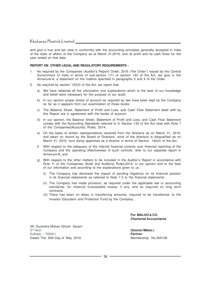and give a true and fair view in conformity with the accounting principles generally accepted in India of the state of affairs of the Company as at March 31,2016, and its profit and its cash flows for the year ended on that date.

#### **REPORT ON OTHER LEGAL AND REGULATORY REQUIREMENTS :**

- 1. As required by the Companies (Auditor's Report) Order, 2016 ("the Order") issued by the Central Government of India in terms of sub-section (11) of section 143 of the Act, we give in the Annexure-A, a statement on the matters specified in paragraphs 3 and 4 of the Order.
- 2. As required by section 143(3) of the Act, we report that:
	- a) We have obtained all the information and explanations which to the best of our knowledge and belief were necessary for the purpose of our audit;
	- b) In our opinion proper books of account as required by law have been kept by the Company so far as it appears from our examination of those books
	- c) The Balance Sheet, Statement of Profit and Loss, and Cash Flow Statement dealt with by this Report are in agreement with the books of account.
	- d) In our opinion, the Balance Sheet, Statement of Profit and Loss, and Cash Flow Statement comply with the Accounting Standards referred to in Section 133 of the Act read with Rule 7 of the Companies(Accounts) Rules, 2014.
	- e) On the basis of written representations received from the directors as on March 31, 2016, and taken on record by the Board of Directors, none of the directors is disqualified as on March 31, 2016, from being appointed as a director in terms of Section 164(2) of the Act.
	- f) With respect to the adequacy of the internal financial controls over financial reporting of the Company and the operating effectiveness of such controls, refer to our separate report in Annexure-B, and
	- g) With respect to the other matters to be included in the Auditor's Report in accordance with Rule 11 of the Companies (Audit and Auditors) Rules,2014, in our opinion and to the best of our information and according to the explanations given to us :
		- (i) The Company has disclosed the impact of pending litigations on its financial position in its financial statements as referred to Note 7.3 to the financial statements.
		- (ii) The Company has made provision, as required under the applicable law or accounting standards, for material foreseeable losses, if any, and as required on long term contracts.
		- (iii) There has been no delay in transferring amounts, required to be transferred, to the Investor Education and Protection Fund by the Company .

#### **For MALOO & CO. Chartered Accountants**

3A, Surendra Mohan Ghosh Sarani  $2<sup>nd</sup>$  floor Kolkata – 700001 **Partner** Dated: The 30th Day of May 2016 Membership No.305128

(Gourav Maloo)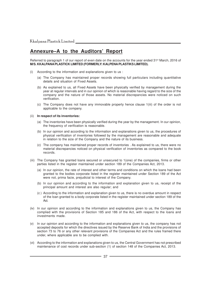# **Annexure–A to the Auditors' Report**

Referred to paragraph 1 of our report of even date on the accounts for the year ended 31<sup>st</sup> March, 2016 of **M/S. KKALPANA PLASTICK LIMITED (FORMERLY: KALPENA PLASTIKS LIMITED).**

- (i) According to the information and explanations given to us :
	- (a) The Company has maintained proper records showing full particulars including quantitative details and situation of Fixed Assets.
	- (b) As explained to us, all Fixed Assets have been physically verified by management during the year at regular intervals and in our opinion of which is reasonable having regard to the size of the company and the nature of those assets. No material discrepancies were noticed on such verification.
	- (c) The Company does not have any immovable property hence clause 1(iii) of the order is not applicable to the company.

#### (ii) **In respect of its inventories:**

- (a) The inventories have been physically verified during the year by the management. In our opinion, the frequency of verification is reasonable.
- (b) In our opinion and according to the information and explanations given to us, the procedures of physical verification of inventories followed by the management are reasonable and adequate in relation to the size of the Company and the nature of its business.
- (c) The company has maintained proper records of inventories . As explained to us, there were no material discrepancies noticed on physical verification of inventories as compared to the book records.
- (iii) The Company has granted loans secured or unsecured to 1(one) of the companies, firms or other parties listed in the register maintained under section 189 of the Companies Act, 2013.
	- (a) In our opinion, the rate of interest and other terms and conditions on which the loans had been granted to the bodies corporate listed in the register maintained under Section 189 of the Act were not, prima facie, prejudicial to interest of the Company.
	- (b) In our opinion and according to the information and explanation given to us, receipt of the principal amount and interest are also regular; and
	- (c ) According to the information and explanation given to us, there is no overdue amount in respect of the loan granted to a body corporate listed in the register maintained under section 189 of the Act.
- (iv) In our opinion and according to the information and explanations given to us, the Company has complied with the provisions of Section 185 and 186 of the Act, with respect to the loans and investments made.
- (v) In our opinion and according to the information and explanations given to us, the company has not accepted deposits for which the directives issued by the Reserve Bank of India and the provisions of section 73 to 76 or any other relevant provisions of the Companies Act and the rules framed there under, where applicable are to be complied with.
- (vi) According to the information and explanations given to us, the Central Government has not prescribed maintenance of cost records under sub-section (1) of section 148 of the Companies Act, 2013.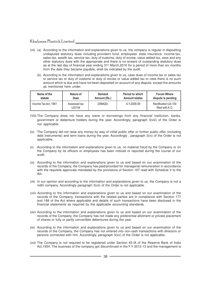- (vii) (a) According to the information and explanations given to us, the company is regular in depositing undisputed statutory dues including provident fund, employees' state insurance, income-tax, sales-tax, wealth tax, service tax, duty of customs, duty of excise, value added tax, cess and any other statutory dues with the appropriate and there is no arrears of outstanding statutory dues as at the last day of financial year ending 31st March,2016 for a period of more than six months from the date they became payable, shall be indicated by the audit.
	- (b) According to the information and explanations given to us, case dues of income tax or sales tax or service tax or duty of customs or duty of excise or value added tax or cess there is no such amount which is due and have not been deposited on account of any dispute, except the amounts as mentioned here under.

| Name of the          | Nature of              | <b>Demand</b> | Period to which | <b>Forum Where</b>                        |
|----------------------|------------------------|---------------|-----------------|-------------------------------------------|
| statute              | Dues                   | Amount (Rs.)  | Amount relates  | dispute is pending                        |
| 1961, Income Tax Act | Assessed tax<br>U/S154 | 2399420/-     | A.Y.2008-09     | Rectification U/s.154<br>filled with A.O. |

- (Viii) The Company does not have any loans or borrowings from any financial institution, banks, government or debenture holders during the year. Accordingly, paragraph 3(viii) of the Order is not applicable.
- (ix) The Company did not raise any money by way of initial public offer or further public offer (including debt instruments) and term loans during the year. Accordingly , paragraph 3(ix) of the Order is not applicable.
- (x) According to the information and explanations given to us, no material fraud by the Company or on the Company by its officers or employees has been noticed or reported during the course of our audit.
- (xi) According to the information and explanations given to us and based on our examination of the records of the Company, the Company has paid/provided for managerial remuneration in accordance with the requisite approvals mandated by the provisions of Section 197 read with Schedule V to the Act.
- (xii) In our opinion and according to the information and explanations given to us, the Company is not a nidhi company. Accordingly paragraph 3(xii) of the Order is not applicable.
- (xiii) According to the information and explanations given to us and based on our examination of the records of the Company, transactions with the related parties are in compliance with Section 177 and 188 of the Act where applicable and details of such transactions have been disclosed in the financial statements as required by the applicable accounting standards.
- (xiv) According to the information and explanations given to us and based on our examination of the records of the Company, the Company has not made any preferential allotment or private placement of shares or fully or partly convertible debentures during the year.
- (xv) According to the information and explanations given to us and based on our examination of the records of the Company, the Company has not entered into non-cash transactions with directors or persons connected with him. Accordingly, paragraph 3(xv) of the Order is not applicable.
- (xvi) The Company is not required to be registered under Section 45-IA of the Reserve Bank of India Act,1934. The business of the company got discontinued in the F.Y 2012-13 and the management is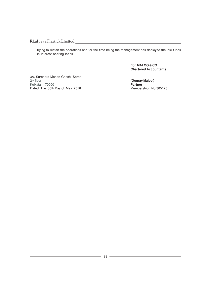trying to restart the operations and for the time being the management has deployed the idle funds in interest bearing loans.

3A, Surendra Mohan Ghosh Sarani 2<sup>nd</sup> floor Kolkata – 700001<br> **Partner** Partner<br>
Dated: The 30th Day of May 2016 Dated: The 30th Day of May 2016

**For MALOO & CO. Chartered Accountants**

(Gourav Maloo)<br>Partner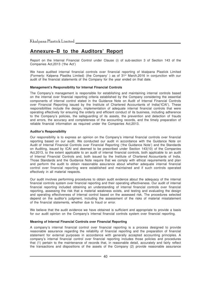# **Annexure–B to the Auditors' Report**

Report on the Internal Financial Control under Clause (i) of sub-section 3 of Section 143 of the Companies Act,2013 ('the Act')

We have audited internal financial controls over financial reporting of kkalpana Plastick Limited (Formerly: Kalpena Plastiks Limited) (the Company' ) as of 31st March,2016 in conjunction with our audit of the financial statements of the Company for the year ended on that date.

#### **Management's Responsibility for Internal Financial Controls**

The Company's management is responsible for establishing and maintaining internal controls based on the internal over financial reporting criteria established by the Company considering the essential components of internal control stated in the Guidance Note on Audit of Internal Financial Controls over Financial Reporting issued by the Institute of Chartered Accountants of India('ICAI'). These responsibilities include the design, implementation of adequate internal financial controls that were operating effectively for ensuring the orderly and efficient conduct of its business, including adherence to the Company's policies, the safeguarding of its assets, the prevention and detection of frauds and errors, the accuracy and completeness of the accounting records, and the timely preparation of reliable financial information as required under the Companies Act,2013.

#### **Auditor's Responsibility**

Our responsibility is to express an opinion on the Company's internal financial controls over financial reporting based on our audit. We conducted our audit in accordance with the Guidance Note on Audit of Internal Financial Controls over Financial Reporting ('the Guidance Note') and the Standards on Auditing, issued by ICAI and deemed to be prescribed under Section 143(10) of the Companies Act,2013, to the extent applicable to an audit of internal financial controls, both applicable to an audit of Internal Financial Controls and, both issued by the Institute of Chartered Accountants of India. Those Standards and the Guidance Note require that we comply with ethical requirements and plan and perform the audit to obtain reasonable assurance about whether adequate internal financial control over financial reporting were established and maintained and if such controls operated effectively in all material respects.

Our audit involves performing procedures to obtain audit evidence about the adequacy of the internal financial controls system over financial reporting and their operating effectiveness. Our audit of internal financial reporting included obtaining an understanding of internal financial controls over financial reporting, assessing the risk that a material weakness exists, and testing and evaluating the design and operating effectiveness of internal control based on the assessed risk. The procedures selected depend on the auditor's judgment, including the assessment of the risks of material misstatement of the financial statements, whether due to fraud or error.

We believe that the audit evidence we have obtained is sufficient and appropriate to provide a basis for our audit opinion on the Company's internal financial controls system over financial reporting.

#### **Meaning of Internal Financial Controls over Financial Reporting**

A company's internal financial control over financial reporting is a process designed to provide reasonable assurance regarding the reliability of financial reporting and the preparation of financial statement for external purposes in accordance with generally accepted accounting principles. A company's internal financial control over financial reporting includes those policies and procedures that (1) pertain to the maintenance of records that, in reasonable detail, accurately and fairly reflect the transactions and dispositions of the assets of the Company (2) provide reasonable assurance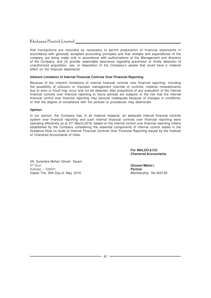that transactions are recorded as necessary to permit preparation of financial statements in accordance with generally accepted accounting principles and that receipts and expenditures of the company are being made only in accordance with authorizations of the Management and directors of the Company, and (3) provide reasonable assurance regarding prevention or timely detection of unauthorized acquisition, use, or disposition of the Company's assets that could have a material effect on the financial statements.

#### **Inherent Limitation of Internal Financial Controls Over Financial Reporting**

Because of the inherent limitations of internal financial controls over financial reporting, including the possibility of collusion or improper management override of controls, material misstatements due to error or fraud may occur and not be detected. Also projections of any evaluation of the internal financial controls over financial reporting to future periods are subjects to the risk that the internal financial control over financial reporting may become inadequate because of changes in conditions, or that the degree of compliance with the policies or procedures may deteriorate.

#### **Opinion**

In our opinion, the Company has, in all material respects, an adequate internal financial controls system over financial reporting and such internal financial controls over financial reporting were operating effectively as at 31st March,2016, based on the internal control over financial reporting criteria established by the Company considering the essential components of internal control stated in the Guidance Note on Audit of Internal Financial Controls Over Financial Reporting issued by the Institute of Chartered Accountants of India.

> **For MALOO & CO. Chartered Accountants**

3A, Surendra Mohan Ghosh Sarani  $2<sup>nd</sup>$  floor Kolkata – 700001<br> **Partner** Partner **Partner** Partner **Partner** Partner **Partner** Partner **Partner** Partner **Partner** Partner Partner Partner Partner Partner Partner Partner Partner Partner Partner Partner Partner Partner Dated: The 30th Day of May 2016

(Gourav Maloo)<br>Partner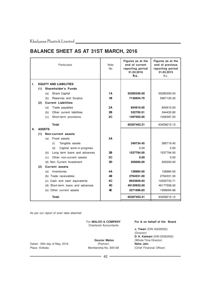# **BALANCE SHEET AS AT 31ST MARCH, 2016**

|     |     | Particulars                         | <b>Note</b><br><b>No</b> | Figures as at the<br>end of current<br>reporting period<br>31.03.2016<br>Rs. | Figures as at the<br>end of previous<br>reporting period<br>31.03.2015<br>Rs. |
|-----|-----|-------------------------------------|--------------------------|------------------------------------------------------------------------------|-------------------------------------------------------------------------------|
| L.  |     | <b>EQUITY AND LIABILITIES</b>       |                          |                                                                              |                                                                               |
|     | (1) | <b>Shareholder's Funds</b>          |                          |                                                                              |                                                                               |
|     |     | Share Capital<br>(a)                | 1Α                       | 55285350.00                                                                  | 55285350.00                                                                   |
|     |     | Reserves and Surplus<br>(b)         | 1B                       | 7136934.70                                                                   | 5967125.32                                                                    |
|     | (2) | <b>Current Liabilities</b>          |                          |                                                                              |                                                                               |
|     |     | Trade payables<br>(a)               | 2Α                       | 854910.00                                                                    | 854910.00                                                                     |
|     |     | Other current liabilities<br>(b)    | 2B                       | 532705.51                                                                    | 344432.80                                                                     |
|     |     | (c)<br>Short-term provisions        | 2C                       | 1497503.00                                                                   | 1006397.00                                                                    |
|     |     | Total                               |                          | 65307403.21                                                                  | 63458215.12                                                                   |
| 11. |     | <b>ASSETS</b>                       |                          |                                                                              |                                                                               |
|     | (1) | Non-current assets                  |                          |                                                                              |                                                                               |
|     |     | Fixed assets<br>(a)                 | 3A                       |                                                                              |                                                                               |
|     |     | Tangible assets<br>(i)              |                          | 349734.45                                                                    | 385719.45                                                                     |
|     |     | Capital work-in-progress<br>(ii)    |                          | 0.00                                                                         | 0.00                                                                          |
|     |     | Long term loans and advances<br>(b) | 3Β                       | 1537794.00                                                                   | 1537794.00                                                                    |
|     |     | Other non-current assets<br>(c)     | 3C                       | 0.00                                                                         | 0.00                                                                          |
|     |     | (d) Non Current Investment          | 3D                       | 200000.00                                                                    | 200000.00                                                                     |
|     | (2) | <b>Current assets</b>               |                          |                                                                              |                                                                               |
|     |     | Inventories<br>(a)                  | 4Α                       | 128984.00                                                                    | 128984.00                                                                     |
|     |     | (b) Trade receivables               | 4B                       | 2764331.00                                                                   | 2764331.00                                                                    |
|     |     | (c) Cash and cash equivalents       | 4C                       | 8933929.93                                                                   | 10305733.71                                                                   |
|     |     | (d) Short-term loans and advances   | 4D                       | 49120933.00                                                                  | 46177558.00                                                                   |
|     |     | (e) Other current assets            | 4E                       | 2271696.83                                                                   | 1958094.96                                                                    |
|     |     | Total                               |                          | 65307403.21                                                                  | 63458215.12                                                                   |

As per our report of even date attached

Chartered Accountants

Dated : 30th day of May, 2016 **(Partner) Neha Jain** Place : Kolkata Membership No. 305128 (Chief Financial Officer)

For **MALOO & COMPANY For & on behalf of the Board**

**J. Tiwari** (DIN 00228352) (Director) **D. K. Kalwani** (DIN 03363450) Gourav Maloo **Maloo** (Whole Time Director)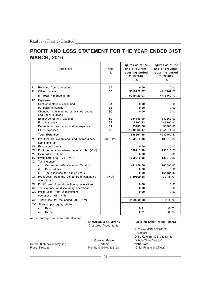# **PROFIT AND LOSS STATEMENT FOR THE YEAR ENDED 31ST MARCH, 2016**

| Particulars                                                                                                                                                                                                                                                                                                                                                                                                                 | <b>Note</b><br><b>No</b> | Figures as at the<br>end of current<br>reporting period<br>31.03.2016<br>Rs.  | Figures as at the<br>end of previous<br>reporting period<br>31.03.2015<br>Rs.        |
|-----------------------------------------------------------------------------------------------------------------------------------------------------------------------------------------------------------------------------------------------------------------------------------------------------------------------------------------------------------------------------------------------------------------------------|--------------------------|-------------------------------------------------------------------------------|--------------------------------------------------------------------------------------|
| Revenue from operations<br>L.<br>Ш.<br>Other Income                                                                                                                                                                                                                                                                                                                                                                         | 5Α<br>5B                 | 0.00<br>5019420.07                                                            | 0.00<br>4715462.77                                                                   |
| III. Total Revenue (I +II)                                                                                                                                                                                                                                                                                                                                                                                                  |                          | 5019420.07                                                                    | 4715462.77                                                                           |
| IV.<br>Expenses:<br>Cost of materials consumed<br>Purchase of Goods<br>Changes in inventories of finished goods<br>and Stock-in-Trade                                                                                                                                                                                                                                                                                       | 6A<br>6В<br>6C           | 0.00<br>0.00<br>0.00                                                          | 0.00<br>0.00<br>0.00                                                                 |
| Employee benefit expense<br>Financial costs<br>Depreciation and amortization expense<br>Other expenses                                                                                                                                                                                                                                                                                                                      | 6D<br>6E<br>3Α<br>6F     | 1784749.00<br>5702.22<br>35985.00<br>1532068.47                               | 1843363.00<br>49290.00<br>35985.00<br>2651814.50                                     |
| <b>Total Expenses</b>                                                                                                                                                                                                                                                                                                                                                                                                       |                          | 3358504.69                                                                    | 4580452.50                                                                           |
| Profit before exceptional and extraordinary<br>V.<br>items and tax<br>VI. Exceptional Items                                                                                                                                                                                                                                                                                                                                 | $(III - IV)$             | 1660915.38<br>0.00                                                            | 135010.27<br>0.00                                                                    |
| VII. Profit before extraordinary items and tax (V-VI)<br>VIII. Extraordinary Items                                                                                                                                                                                                                                                                                                                                          |                          | 1660915.38<br>0.00                                                            | 135010.27<br>0.00                                                                    |
| IX. Profit before tax (VII - VIII)                                                                                                                                                                                                                                                                                                                                                                                          |                          | 1660915.38                                                                    | 135010.27                                                                            |
| Х.<br>Tax expense:<br>Current tax (Provision for Taxation)<br>(1)<br>Deferred tax<br>(2)<br>Tax expenses for earlier years<br>(3)<br>XI. Profit(Loss) from the period from continuing<br>operations<br>XII. Profit/(Loss) from discontinuing operations<br>XIII. Tax expense of discounting operations<br>XIV. Profit/(Loss) from Discontinuing<br>operations (XII - XIII)<br>XV. Profit/(Loss) for the period $(XI + XIV)$ | $(IX-X)$                 | 491106.00<br>0.00<br>0.00<br>1169809.38<br>0.00<br>0.00<br>0.00<br>1169809.38 | 160695.00<br>0.00<br>164434.00<br>(190118.73)<br>0.00<br>0.00<br>0.00<br>(190118.73) |
| XVI. Earning per equity share:                                                                                                                                                                                                                                                                                                                                                                                              |                          |                                                                               |                                                                                      |
| (1)<br>Basic<br>(2)<br>Diluted                                                                                                                                                                                                                                                                                                                                                                                              |                          | 0.21<br>0.21                                                                  | (0.03)<br>(0.03)                                                                     |

As per our report of even date attached

For **MALOO & COMPANY For & on behalf of the Board** Chartered Accountants

Dated : 30th day of May, 2016 (Partner) **Neha Jain**

Membership No. 305128

**J. Tiwari** (DIN 00228352) (Director) **D. K. Kalwani** (DIN 03363450) Gourav Maloo **Maloo** (Whole Time Director)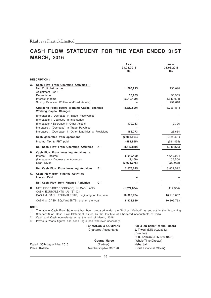# **CASH FLOW STATEMENT FOR THE YEAR ENDED 31ST MARCH, 2016**

|                                                                                                                                | As at<br>31.03.2016<br>Rs.          | As at<br>31.03.2015<br>Rs.         |
|--------------------------------------------------------------------------------------------------------------------------------|-------------------------------------|------------------------------------|
| <b>DESCRIPTION:</b>                                                                                                            |                                     |                                    |
| Cash Flow From Operating Activities :-<br>А.<br>Net Profit before tax<br>Adjustment For :-                                     | 1,660,915                           | 135,010                            |
| Depreciation<br>Interest Income<br>Sundry Balances Written off(Fixed Assets)                                                   | 35,985<br>(5,019,420)               | 35,985<br>(4,649,094)<br>751,618   |
| Operating Profit before Working Capital changes<br><b>Working Capital Changes</b>                                              | (3,322,520)                         | (3,726,481)                        |
| (Increases) / Decrease in Trade Receivables<br>(Increases) / Decrease in Inventories<br>(Increases) / Decrease in Other Assets | 170,253                             | 12,396                             |
| Increases / (Decrease) in Trade Payables<br>Increases / (Decrease) in Other Liabilities & Provisions                           | 188,273                             | 28,664                             |
| Cash generated from operations<br>Income Tax & FBT paid                                                                        | (2,963,994)<br>(483, 855)           | (3,685,421)<br>(561, 455)          |
| Net Cash Flow From Operating Activities<br>A :                                                                                 | (3, 447, 849)                       | (4, 246, 876)                      |
| В.<br>Cash Flow From investing Activities :-<br>Interest Income<br>(Increases) / Decrease in Advances<br>Loan Given            | 5,019,420<br>(9,100)<br>(2,934,275) | 4,649,094<br>105,500<br>(920, 072) |
| Net Cash Flow From Investing Activities<br>$B$ :                                                                               | 2,076,045                           | 3,834,522                          |
| Cash Flow from Finance Activities<br>C.<br>Interest Paid                                                                       |                                     |                                    |
| Net Cash Flow from Finance Activities<br>c:                                                                                    |                                     |                                    |
| NET INCREASE/(DECREASE) IN CASH AND<br>D.<br>CASH EQUIVALENTS $(A)+(B)+(C)$<br>CASH & CASH EQUIVALENTS, beginning of the year  | (1,371,804)<br>10,305,734           | (412, 354)<br>10,718,087           |
| CASH & CASH EQUIVALENTS, end of the year                                                                                       | 8,933,930                           | 10,305,733                         |

#### **NOTE:**

1) The above Cash Flow Statement has been prepared under the "Indirect Method" as set out in the Accounting<br>Standard-3 on Cash Flow Statement issued by the Institute of Chartered Accountants of India Standard-3 on Cash Flow Statement issued by the Institute of Chartered Accountants of India.

2) Cash and Cash equivalents as at the end of March, 2016.

3) Previous Year's figures has been regrouped wherever necessary.

| of the nonce to high of the booth regression interest the cooperative |                                |                                     |
|-----------------------------------------------------------------------|--------------------------------|-------------------------------------|
|                                                                       | For <b>MALOO &amp; COMPANY</b> | For & on behalf of the Board        |
|                                                                       | <b>Chartered Accountants</b>   | <b>J. Tiwari</b> (DIN 00228352)     |
|                                                                       |                                | (Director)                          |
|                                                                       |                                | <b>D. K. Kalwani</b> (DIN 03363450) |
|                                                                       | <b>Gourav Maloo</b>            | (Whole Time Director)               |
| Dated: 30th day of May, 2016                                          | (Partner)                      | Neha Jain                           |
| Place: Kolkata                                                        | Membership No. 305128          | (Chief Financial Officer)           |
|                                                                       |                                |                                     |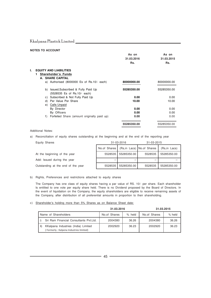#### **NOTES TO ACCOUNT**

|    |                                                                    | As on<br>31.03.2016<br>Rs. | As on<br>31.03.2015<br>Rs. |
|----|--------------------------------------------------------------------|----------------------------|----------------------------|
|    |                                                                    |                            |                            |
| I. | <b>EQUITY AND LIABILITIES</b><br>Shareholder's Funds               |                            |                            |
|    | A. SHARE CAPITAL                                                   |                            |                            |
|    | a) Authorised $(8000000 \text{ Es of Rs}.10/- each)$               | 80000000.00                | 80000000.00                |
| b) | Issued, Subscribed & Fully Paid Up<br>(5528535 Es of Rs.10/- each) | 55285350.00                | 55285350.00                |
| C) | Subscribed & Not Fully Paid Up                                     | 0.00                       | 0.00                       |
| d) | Per Value Per Share                                                | 10.00                      | 10.00                      |
| e) | Calls Unpaid                                                       |                            |                            |
|    | By Director                                                        | 0.00                       | 0.00                       |
|    | By Officers                                                        | 0.00                       | 0.00                       |
|    | f) Forfeited Share (amount originally paid up)                     | 0.00                       | 0.00                       |
|    |                                                                    | 55285350.00                | 55285350.00                |

#### Additional Notes:

a) Reconciliation of equity shares outstanding at the beginning and at the end of the reporting year

| Equity Shares                      |                                             | 31-03-2016            | 31-03-2015 |              |
|------------------------------------|---------------------------------------------|-----------------------|------------|--------------|
|                                    | No.of Shares   (Rs, in Lacs)   No.of Shares |                       |            | (Rs.in Lacs) |
| At the beginning of the year       |                                             | 5528535   55285350.00 | 5528535    | 55285350.00  |
| Add: Issued during the year        |                                             |                       |            |              |
| Outstanding at the end of the year |                                             | 5528535 55285350.00   | 5528535    | 55285350.00  |

b) Rights, Preferences and restrictions attached to equity shares

The Company has one class of equity shares having a par value of RS. 10/- per share. Each shareholder Is entitled to one vote per equity share held. There is no Dividend proposed by the Board of Directors. In the event of liquidation on the Company, the equity shareholders are eligible to receive remaining assets of the Company, after distribution of all preferential amounts in proportion to their shareholding.

#### c) Shareholder's holding more than 5% Shares as on Balance Sheet date:

|     |                                                                               | 31.03.2016   |          | 31.03.2015   |        |  |
|-----|-------------------------------------------------------------------------------|--------------|----------|--------------|--------|--|
|     | Name of Shareholders                                                          | No.of Shares | $%$ held | No.of Shares | % held |  |
|     | Sri Ram Financial Consultants Pvt.Ltd.                                        | 2004380      | 36.26    | 2004380      | 36.26  |  |
| li) | KKalpana Industries (India) Limited<br>(Formerly: Kalpena Industries limited) | 2002920      | 36.23    | 2002920      | 36.23  |  |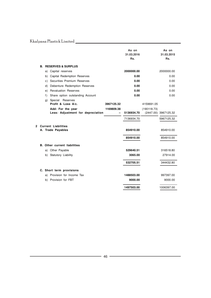|   |    |                                                 |            | As on<br>31.03.2016<br>Rs. |             | As on<br>31.03.2015<br>Rs. |
|---|----|-------------------------------------------------|------------|----------------------------|-------------|----------------------------|
|   |    | <b>B. RESERVES &amp; SURPLUS</b>                |            |                            |             |                            |
|   |    | a) Capital reserves                             |            | 2000000.00                 |             | 2000000.00                 |
|   |    | b) Capital Redemption Reserves                  |            | 0.00                       |             | 0.00                       |
|   |    | c) Securities Premium Reserves                  |            | 0.00                       |             | 0.00                       |
|   | d) | Debenture Redemption Reserves                   |            | 0.00                       |             | 0.00                       |
|   |    | e) Revaluation Reserves                         |            | 0.00                       |             | 0.00                       |
|   | f) | Share option outstanding Account                |            | 0.00                       |             | 0.00                       |
|   |    | g) Special Reserves<br>Profit & Loss A/c.       | 3967125.32 |                            | 4159691.05  |                            |
|   |    | Add: For the year                               | 1169809.38 |                            | (190118.73) |                            |
|   |    | Less: Adjustment for depreciation               | -          | 5136934.70                 |             | (2447.00) 3967125.32       |
|   |    |                                                 |            | 7136934.70                 |             | 5967125.32                 |
| 2 |    | <b>Current Liabilities</b><br>A. Trade Payables |            | 854910.00                  |             | 854910.00                  |
|   |    |                                                 |            | 854910.00                  |             | 854910.00                  |
|   |    | <b>B.</b> Other current liabilities             |            |                            |             |                            |
|   |    | a) Other Payable                                |            | 529640.51                  |             | 316518.80                  |
|   |    | b) Statutory Liability                          |            | 3065.00                    |             | 27914.00                   |
|   |    |                                                 |            | 532705.51                  |             | 344432.80                  |
|   |    | C. Short term provisions                        |            |                            |             |                            |
|   |    | a) Provision for Income Tax                     |            | 1488503.00                 |             | 997397.00                  |
|   |    | b) Provision for FBT                            |            | 9000.00                    |             | 9000.00                    |
|   |    |                                                 |            | 1497503.00                 |             | 1006397.00                 |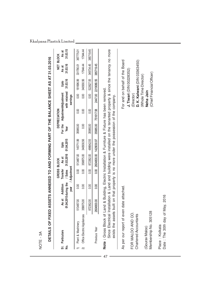| DETAILS OF FIXED ASSETS ANNEXED TO AND FORMING PART OF THE BALANCE SHEET AS AT 31.03.2016                                                                                                                                                                                                                                                                            |                         |                                           |                                         |                                        |                        |                      |                                      |                           |                                 |                                |                                       |
|----------------------------------------------------------------------------------------------------------------------------------------------------------------------------------------------------------------------------------------------------------------------------------------------------------------------------------------------------------------------|-------------------------|-------------------------------------------|-----------------------------------------|----------------------------------------|------------------------|----------------------|--------------------------------------|---------------------------|---------------------------------|--------------------------------|---------------------------------------|
| SI. Particulars<br>ş                                                                                                                                                                                                                                                                                                                                                 | As at                   | 01.04.2015 during the<br>Addition<br>year | GROSS BLOCK<br>/ Adjustment<br>Transfer | / Sales 31.03.2016 01.04.2015<br>As at | Upto                   | For the<br>Year      | AdjustmentAdjustment<br>DEPRECIATION | with retained<br>earnings | 31.03.16<br>Upto                | 31.03.16<br>As at              | 31.03.15<br>As at<br><b>NET BLOCK</b> |
| Office Electric Appliances<br>Plant & Machinery<br>ন                                                                                                                                                                                                                                                                                                                 | 358875.00<br>513487.00  | 0.00<br>0.00                              | 0.00<br>0.00                            | 513487.00<br>358875.00                 | 145711.99<br>340930.56 | 0.00<br>35985.00     | 0.00<br>0.00                         | 0.00<br>0.00              | 181696.99<br>340930.56          | 17944.44<br>331790.01          | 17944.44<br>367775.01                 |
| Previous Year                                                                                                                                                                                                                                                                                                                                                        | 2604800.00<br>872362.00 | $\frac{8}{10}$<br>0.00                    | 0.00<br>0.00                            | 2604800.00 1429030.97<br>872362.00     | 486642.55              | 35985.00<br>35985.00 | 0.00<br>751617.58                    | 0.00                      | 522627.55<br>2447.00 2219080.55 | 349734.45<br>385719.45         | 385719.45                             |
| Since Electrical Installation & Land and building were installed on the tenanted property & since the tenancy no more<br>Note: Gross Block of Land & Building, Electric Installation & Furniture & Fixture has been removed.<br>exists the assets built on that property is no more under the possession of the company.<br>As per our report of even date attached. |                         |                                           |                                         |                                        |                        |                      |                                      |                           |                                 | For and on behalf of the Board |                                       |
|                                                                                                                                                                                                                                                                                                                                                                      |                         |                                           |                                         |                                        |                        |                      |                                      |                           | $J.$ Tiwari (DIN 00228352)      |                                |                                       |
| FOR MALOO AND CO.<br>Chartered Accountants                                                                                                                                                                                                                                                                                                                           |                         |                                           |                                         |                                        |                        |                      |                                      | (Director)                | (Whole Time Director)           | D. K. Kalwani (DIN 03363450)   |                                       |
| Membership No. 305128<br>(Gourav Maloo)                                                                                                                                                                                                                                                                                                                              |                         |                                           |                                         |                                        |                        |                      |                                      | Neha Jain                 | (Chief Financial Officer)       |                                |                                       |
| Date: The 30th day of May,<br>Place: Kolkata                                                                                                                                                                                                                                                                                                                         | 2016                    |                                           |                                         |                                        |                        |                      |                                      |                           |                                 |                                |                                       |

Kkalpana Plastick Limited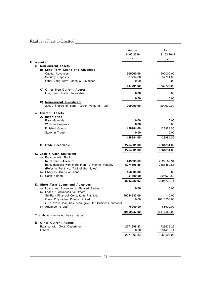|   |                                                                                           | As on<br>31.03.2016<br>₹ | As on<br>31.03.2015<br>₹ |
|---|-------------------------------------------------------------------------------------------|--------------------------|--------------------------|
|   | II. Assets                                                                                |                          |                          |
| 3 | Non-current assets                                                                        |                          |                          |
|   | B) Long Term Loans and Advances                                                           |                          |                          |
|   | Capital Advances<br>Security Deposits                                                     | 1500000.00<br>37794.00   | 1500000.00<br>37794.00   |
|   | Other Long Term Loans & Advances                                                          | 0.00                     | 0.00                     |
|   |                                                                                           | 1537794.00               | 1537794.00               |
|   | C) Other Non-Current Assets                                                               |                          |                          |
|   | Long Term Trade Receivable                                                                | 0.00                     | 0.00                     |
|   |                                                                                           | 0.00                     | 0.00                     |
|   | D) Non-current Investment                                                                 |                          |                          |
|   | 20000 Shares of Isana Green Ventures Ltd.                                                 | 200000.00                | 200000.00                |
| 4 | <b>Current Assets</b>                                                                     |                          |                          |
|   | A. Inventories                                                                            |                          |                          |
|   | Raw Materials                                                                             | 0.00                     | 0.00                     |
|   | Work in Progress                                                                          | 0.00                     | 0.00                     |
|   | <b>Finished Goods</b>                                                                     | 128984.00                | 128984.00                |
|   | Stock in Trade                                                                            | 0.00                     | 0.00                     |
|   |                                                                                           | 128984.00                | 128984.00                |
|   |                                                                                           |                          |                          |
|   | <b>B. Trade Receivable</b>                                                                | 2764331.00               | 2764331.00               |
|   |                                                                                           | 2764331.00               | 2764331.00               |
|   | C. Cash & Cash Equivalent                                                                 |                          |                          |
|   | a) Balance with Bank                                                                      |                          |                          |
|   | In Current Account                                                                        | 449633.69                | 2522569.94               |
|   | Bank deposits with more than 12 months maturity<br>(Refer to Point No. 7.12 of the Notes) | 8274596.35               | 7488489.88               |
|   | b) Cheques, Drafts on hand                                                                | 158000.00                | 0.00                     |
|   | c) Cash-in-hand                                                                           | 51699.89                 | 294673.89                |
|   |                                                                                           | 8933929.93               | 10305733.71              |
|   | D. Short Term Loans and Advances                                                          |                          |                          |
|   | a) Loans and Advances to Related Parties                                                  | 0.00                     | 0.00                     |
|   | b) Loans & Advances to Others                                                             |                          |                          |
|   | Sri Ram Financial Consultants Pvt. Ltd.                                                   | 49044933.00              | 0.00                     |
|   | Oasis Polytraders Private Limited                                                         | 0.00                     | 46110658.00              |
|   | (The avove loan has been given for Business purpose)                                      |                          |                          |
|   | c) Advance to staff                                                                       | 76000.00                 | 66900.00                 |
|   |                                                                                           | 49120933.00              | 46177558.00              |
|   | The above mentioned bears interest                                                        |                          |                          |
|   | <b>E. Other Current Assets</b>                                                            |                          |                          |
|   | Balance with Govt. Department                                                             | 2271696.83               | 1723639.22               |
|   | Others                                                                                    | 0.00                     | 234455.74                |
|   |                                                                                           | 2271696.83               | 1958094.96               |
|   |                                                                                           |                          |                          |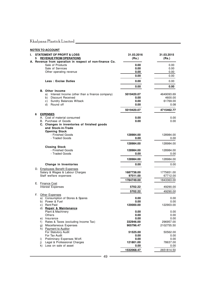|         | <b>NOTES TO ACCOUNT</b>                                                                                                            |                        |                        |
|---------|------------------------------------------------------------------------------------------------------------------------------------|------------------------|------------------------|
| L.<br>5 | <b>STATEMENT OF PROFIT &amp; LOSS</b><br><b>REVENUE FROM OPERATIONS</b><br>A. Revenue from operation in respect of non-finance Co. | 31.03.2016<br>(Rs.)    | 31.03.2015<br>(Rs.)    |
|         | Sale of Products                                                                                                                   | 0.00                   | 0.00                   |
|         | Sale of Services                                                                                                                   | 0.00                   | 0.00                   |
|         | Other operating revenue                                                                                                            | 0.00                   | $0.00\,$               |
|         |                                                                                                                                    | 0.00                   | 0.00                   |
|         | <b>Less: Excise Duties</b>                                                                                                         | 0.00                   | 0.00                   |
|         |                                                                                                                                    | 0.00                   | 0.00                   |
|         | <b>B.</b> Other Income                                                                                                             |                        |                        |
|         | Interest Income (other than a finance company)<br>a)                                                                               | 5019420.07             | 4649093.69             |
|         | Discount Received<br>b)                                                                                                            | 0.00                   | 4600.00                |
|         | Sundry Balances W/back<br>C)                                                                                                       | 0.00                   | 61769.00               |
|         | Round off<br>d)                                                                                                                    | 0.00                   | 0.08                   |
|         |                                                                                                                                    | 5019420.07             | 4715462.77             |
| 6       | <b>EXPENSES</b><br>A. Cost of material consumed                                                                                    | 0.00                   | 0.00                   |
|         | B. Purchase of Goods                                                                                                               | 0.00                   | 0.00                   |
|         | C. Changes in inventories of finished goods                                                                                        |                        |                        |
|         | and Stock-in-Trade                                                                                                                 |                        |                        |
|         | <b>Opening Stock</b><br>- Finished Goods                                                                                           | 128984.00              | 128984.00              |
|         | - Traded Goods                                                                                                                     | 0.00                   | 0.00                   |
|         |                                                                                                                                    | 128984.00              | 128984.00              |
|         | <b>Closing Stock</b>                                                                                                               |                        |                        |
|         | - Finished Goods<br>- Traded Goods                                                                                                 | 128984.00<br>0.00      | 128984.00<br>0.00      |
|         |                                                                                                                                    |                        |                        |
|         |                                                                                                                                    | 128984.00              | 128984.00              |
|         | Change in Inventories                                                                                                              | 0.00                   | 0.00                   |
|         | D. Employees Benefit Expenses                                                                                                      |                        |                        |
|         | Salary & Wages & Labour Charges<br>Staff welfare expenses                                                                          | 1687738.00<br>97011.00 | 1775651.00<br>67712.00 |
|         |                                                                                                                                    | 1784749.00             | 1843363.00             |
| E.,     | <b>Finance Cost</b>                                                                                                                |                        |                        |
|         | Interest Expenses                                                                                                                  | 5702.22                | 49290.00               |
|         |                                                                                                                                    | 5702.22                | 49290.00               |
| F.      | Other Expenses<br>a) Consumption of Stores & Spares                                                                                | 0.00                   | 0.00                   |
|         | b) Power & Fuel                                                                                                                    | 0.00                   | 0.00                   |
|         | c) Rent Paid                                                                                                                       | 120000.00              | 122903.00              |
|         | d) Repair & Maintenance                                                                                                            |                        |                        |
|         | Plant & Machinery                                                                                                                  | 0.00                   | 0.00                   |
|         | Others                                                                                                                             | 0.00                   | 0.00                   |
|         | e) Insurance                                                                                                                       | 0.00                   | 0.00                   |
|         | Rates & Taxes (excluding Income Tax)<br>f)                                                                                         | 332946.00              | 296957.00              |
|         | g) Miscellaneous Expenses<br>h) Payment to Auditor                                                                                 | 905796.47              | 2102755.50             |
|         | For Statutory Audit                                                                                                                | 51525.00               | 50562.00               |
|         | For Tax Audit                                                                                                                      | 0.00                   | 0.00                   |
|         | Preliminary Expenses W/off.<br>i)                                                                                                  | 0.00                   | 0.00                   |
|         | Legal & Professional Charges<br>j)                                                                                                 | 121801.00              | 78637.00               |
|         | k) Loss on sale of asset                                                                                                           | 0.00                   | 0.00                   |
|         |                                                                                                                                    | 1532068.47             | 2651814.50             |
|         | 49                                                                                                                                 |                        |                        |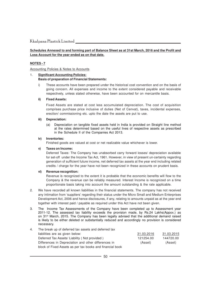#### **Schedules Annexed to and forming part of Balance Sheet as at 31st March, 2016 and the Profit and Loss Account for the year ended as on that date.**

#### **NOTES - 7**

Accounting Policies & Notes to Accounts

#### 1. **Significant Accounting Policies:**

#### **Basis of preparation of Financial Statements:**

i) These accounts have been prepared under the historical cost convention and on the basis of going concern. All expenses and income to the extent considered payable and receivable respectively, unless stated otherwise, have been accounted for on mercantile basis.

#### **ii) Fixed Assets:**

Fixed Assets are stated at cost less accumulated depreciation. The cost of acquisition comprises purchase price inclusive of duties (Net of Cenvat), taxes, incidental expenses, erection/ commissioning etc. upto the date the assets are put to use.

#### **iii) Depreciation:**

(a) Depreciation on tangible fixed assets held in India is provided on Straight line method at the rates determined based on the useful lives of respective assets as prescribed in the Schedule II of the Companies Act 2013.

#### **iv) Inventories:**

Finished goods are valued at cost or net realizable value whichever is lower.

#### **v) Taxes on Income:**

Deferred Taxes: The Company has unabsorbed carry forward losses/ depreciation available for set-off under the Income Tax Act, 1961. However, in view of present un-certainty regarding generation of sufficient future income, net deferred tax assets at the year end including related credits / charge for the year have not been recognized in these accounts on prudent basis.

#### **vi) Revenue recognition:**

Revenue is recognized to the extent it is probable that the economic benefits will flow to the Company & the revenue can be reliably measured. Interest Income is recognized on a time proportionate basis taking into account the amount outstanding & the rate applicable.

- 2. We have recorded all known liabilities in the financial statements. The company has not received any intimation from 'suppliers' regarding their status under the Micro Small and Medium Enterprises Development Act, 2006 and hence disclosures, if any, relating to amounts unpaid as at the year end together with interest paid / payable as required under this Act have not been given.
- 3. The Income Tax Assessments of the Company have been completed up to Assessment year 2011-12. The assessed tax liability exceeds the provision made, by Rs.24 Lakhs(Appox.) as on 31st March, 2015. The Company has been legally advised that the additional demand raised is likely to be either deleted or substantially reduced and accordingly no provision is considered necessary.

| 4. | The break up of deferred tax assets and deferred tax      |            |            |
|----|-----------------------------------------------------------|------------|------------|
|    | liabilities are as given below:                           | 31.03.2016 | 31.03.2015 |
|    | Deferred Tax Assets/ Liability (Not provided)             | 121254.00  | 144720.00  |
|    | Differences in Depreciation and other differences in      | (Asset)    | (Asset)    |
|    | block of Fixed Assets as per tax books and financial book |            |            |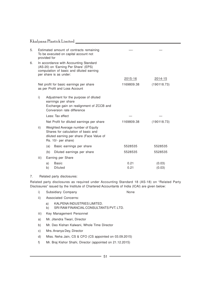| 5. |      | Estimated amount of contracts remaining<br>To be executed on capital account not<br>provided for                                                     |              |                  |
|----|------|------------------------------------------------------------------------------------------------------------------------------------------------------|--------------|------------------|
| 6. |      | In accordance with Accounting Standard<br>(AS-20) on 'Earning Per Share' (EPS)<br>computation of basic and diluted earning<br>per share is as under: | 2015-16      | 2014-15          |
|    |      |                                                                                                                                                      |              |                  |
|    |      | Net profit for basic earnings per share<br>as per Profit and Loss Account                                                                            | 1169809.38   | (190118.73)      |
|    | i)   | Adjustment for the purpose of diluted<br>earnings per share<br>Exchange gain on realignment of ZCCB and<br>Conversion rate difference                |              |                  |
|    |      | Less: Tax effect                                                                                                                                     |              |                  |
|    |      | Net Profit for diluted earnings per share                                                                                                            | 1169809.38   | (190118.73)      |
|    | ii)  | Weighted Average number of Equity<br>Shares for calculation of basic and<br>diluted earning per share (Face Value of<br>Rs. 10/- per share)          |              |                  |
|    |      | Basic earnings per share<br>(a)                                                                                                                      | 5528535      | 5528535          |
|    |      | (b)<br>Diluted earnings per share                                                                                                                    | 5528535      | 5528535          |
|    | iii) | Earning per Share                                                                                                                                    |              |                  |
|    |      | <b>Basic</b><br>a)<br>Diluted<br>b)                                                                                                                  | 0.21<br>0.21 | (0.03)<br>(0.03) |

7. Related party disclosures:

Related party disclosures as required under Accounting Standard 18 (AS-18) on "Related Party Disclosures" issued by the Institute of Chartered Accountants of India (ICAI) are given below:

- i) Subsidiary Company **None**
- ii) Associated Concerns:
	- a) KALPENA INDUSTRIES LIMITED.
	- b) SRI RAM FINANCIAL CONSULTANTS PVT. LTD.
- iii) Key Management Personnel
- a) Mr. Jitendra Tiwari, Director
- b) Mr. Deo Kishan Kalwani, Whole Time Director
- c) Mrs. Ananya Dey, Director
- d) Miss. Neha Jain, CS & CFO (CS appointed on 03.09.2015)
- f) Mr. Braj Kishor Shahi, Director (appointed on 21.12.2015)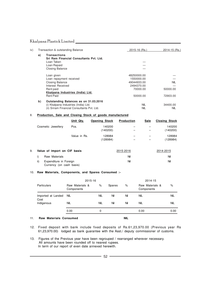| iv) |    | Transaction & outstanding Balance                              | 2015-16 (Rs.) | 2014-15 (Rs.) |
|-----|----|----------------------------------------------------------------|---------------|---------------|
|     | a) | <b>Transactions</b><br>Sri Ram Financial Consultants Pvt. Ltd. |               |               |
|     |    | Loan Taken                                                     |               |               |
|     |    | Loan Repaid                                                    |               |               |
|     |    | <b>Closing Balance</b>                                         |               |               |
|     |    | Loan given                                                     | 48250000.00   |               |
|     |    | Loan repayment received                                        | 1550000.00    |               |
|     |    | <b>Closing Balance</b>                                         | 49044933.00   | <b>NIL</b>    |
|     |    | Interest Received                                              | 2494370.00    |               |
|     |    | Rent paid                                                      | 70000.00      | 50000.00      |
|     |    | Kkalpana Industries (India) Ltd.                               |               |               |
|     |    | <b>Rent Paid</b>                                               | 50000.00      | 72903.00      |
|     | b) | Outstanding Balances as on 31.03.2016                          |               |               |
|     |    | (i) Kkalpana Industries (India) Ltd.                           | <b>NIL</b>    | 34400.00      |
|     |    | (ii) Sriram Financial Consultants Pvt. Ltd.                    | NIL           | NIL           |

#### 8. **Production, Sale and Closing Stock of goods manufactured**

|                    | Unit Qty.    | <b>Opening Stock</b> | <b>Production</b>        | Sale | <b>Closing Stock</b> |
|--------------------|--------------|----------------------|--------------------------|------|----------------------|
| Cosmetic Jewellery | Pcs.         | 140200               | $\overline{\phantom{0}}$ |      | 140200               |
|                    |              | (140200)             | -                        |      | (140200)             |
|                    | Value in Rs. | 128984               | $\qquad \qquad$          | -    | 128984               |
|                    |              | (128984)             | $\overline{\phantom{0}}$ |      | (128984)             |

| 9. |     | Value of import on CIF basis | 2015-2016 | 2014-2015 |
|----|-----|------------------------------|-----------|-----------|
|    |     | Raw Materials                | Nil       | Nil       |
|    | ii) | Expenditure in Foreign       | Nil       | Nil       |
|    |     | Currency (on cash basis)     |           |           |

#### 10. **Raw Materials, Components, and Spares Consumed :-**

|                            | 2015-16                       |            |               |      | 2014-15                       |            |
|----------------------------|-------------------------------|------------|---------------|------|-------------------------------|------------|
| <b>Particulars</b>         | Raw Materials &<br>Components | %          | <b>Spares</b> | $\%$ | Raw Materials &<br>Components | $\%$       |
| Imported at Landed<br>Cost | NIL                           | <b>NIL</b> | Nil           | Nil  | <b>NIL</b>                    | <b>NIL</b> |
| Indigenous                 | <b>NIL</b>                    | NIL        | Nil           | Nil  | <b>NIL</b>                    | <b>NIL</b> |
|                            | 0.00                          | 0          |               |      | 0.00                          | 0.00       |
|                            |                               |            |               |      |                               |            |

#### 11. **Raw Materials Consumed NIL**

- 12. Fixed deposit with bank include fixed deposits of Rs.61,23,970.00 (Previous year Rs 61,23,970.00) lodged as bank guarantee with the Asst./ deputy commissioner of customs.
- 13. Figures of the Previous year have been regrouped / rearranged wherever necessary. All amounts have been rounded off to nearest rupees. In term of our report of even date annexed herewith.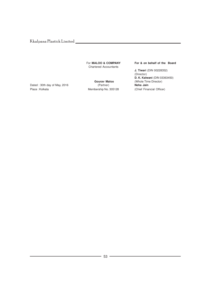Chartered Accountants

For **MALOO & COMPANY For & on behalf of the Board**

**J. Tiwari** (DIN 00228352) (Director) **D. K. Kalwani** (DIN 03363450) **Gourav Maloo** (Whole Time Director)

Dated : 30th day of May, 2016 **(Partner) Neha Jain** Place : Kolkata Membership No. 305128 (Chief Financial Officer)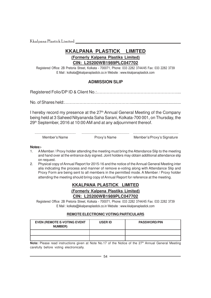### **KKALPANA PLASTICK LIMITED (Formerly Kalpena Plastiks Limited) CIN: L25200WB1989PLC047702**

Registered Office: 2B Pretoria Street, Kolkata - 700071, Phone: 033 2282 3744/45 Fax: 033 2282 3739 E Mail : kolkata@kkalpanaplastick.co.in Website : www.kkalpanaplastick.com

### **ADMISSION SLIP**

Registered Folio/DP ID & Client No.:…………………………………………………...

No. of Shares held:………………………………………….............................................

I hereby record my presence at the 27<sup>th</sup> Annual General Meeting of the Company being held at 3 Saheed Nityananda Saha Sarani, Kolkata-700 001, on Thursday, the 29th September, 2016 at 10:00 AM and at any adjournment thereof.

| Member's Name | Proxy's Name | Member's/Proxy's Signature |
|---------------|--------------|----------------------------|

#### **Notes:-**

- 1. A Member / Proxy holder attending the meeting must bring the Attendance Slip to the meeting and hand over at the entrance duly signed. Joint holders may obtain additional attendance slip on request.
- 2. Physical copy of Annual Report for 2015-16 and the notice of the Annual General Meeting inter alia indicating the process and manner of remove e-voting along with Attendance Slip and Proxy Form are being sent to all members in the permitted mode. A Member / Proxy holder attending the meeting should bring copy of Annual Report for reference at the meeting.

### **KKALPANA PLASTICK LIMITED (Formerly Kalpena Plastiks Limited)**

### **CIN: L25200WB1989PLC047702**

Registered Office: 2B Pretoria Street, Kolkata - 700071, Phone: 033 2282 3744/45 Fax: 033 2282 3739 E Mail : kolkata@kkalpanaplastick.co.in Website : www.kkalpanaplastick.com

#### **REMOTE ELECTRONIC VOTING PARTICULARS**

| <b>EVEN (REMOTE E-VOTING EVENT</b><br><b>NUMBER)</b> | <b>USER ID</b> | <b>PASSWORD/PIN</b> |
|------------------------------------------------------|----------------|---------------------|
|                                                      |                |                     |
|                                                      |                |                     |

**Note:** Please read instructions given at Note No.17 of the Notice of the 27<sup>th</sup> Annual General Meeting carefully before voting electronically.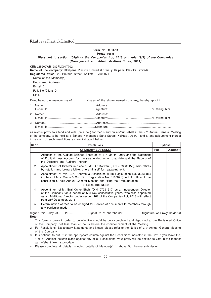#### **Form No. MGT-11 Proxy form**

**[Pursuant to section 105(6) of the Companies Act, 2013 and rule 19(3) of the Companies (Management and Administration) Rules, 2014]**

**CIN:** L25200WB1989PLC047702

**Name of the company:** Kkalpana Plastick Limited (Formerly Kalpena Plastiks Limited) **Registered office:** 2B Pretoria Street, Kolkata - 700 071 Name of the Member(s)

Registered Address E-mail ID Folio No./Client ID DP ID

I/We, being the member (s) of …………. shares of the above named company, hereby appoint

as my/our proxy to attend and vote (on a poll) for me/us and on my/our behalf at the 27<sup>th</sup> Annual General Meeting of the company, to be held at 3 Saheed Nityananda Saha Sarani, Kolkata-700 001 and at any adjournment thereof in respect of such resolutions as are indicated below:

| SI.No.         | <b>Resolutions</b>                                                                                                                                                                                                                                                                             | Optional |         |
|----------------|------------------------------------------------------------------------------------------------------------------------------------------------------------------------------------------------------------------------------------------------------------------------------------------------|----------|---------|
|                | <b>ORDINARY BUSINESS:</b>                                                                                                                                                                                                                                                                      | For      | Against |
|                | Adoption of the Audited Balance Sheet as at 31 <sup>st</sup> March, 2016 and the Statement<br>of Profit & Loss Account for the year ended as on that date and the Reports of<br>the Directors and Auditors thereon.                                                                            |          |         |
| $\overline{2}$ | Appointment of Director in place of Mr. D.K.Kalwani (DIN – 03363450), who retires<br>by rotation and being eligible, offers himself for reappointment.                                                                                                                                         |          |         |
| 3              | Appointment of M/s. B.K. Sharma & Associates (Firm Registration No. 323388E)<br>in place of M/s. Maloo & Co. (Firm Registration No. 310062E) to hold office till the<br>conclusion of next Annual General Meeting and fixing their remuneration.                                               |          |         |
|                | <b>SPECIAL BUSINESS:</b>                                                                                                                                                                                                                                                                       |          |         |
| 4              | Appointment of Mr. Braj Kishor Shahi (DIN: 07291517) as an Independent Director<br>of the Company for a period of 5 (Five) consecutive years, who was appointed<br>as an Additional Director under section 161 of the Companies Act, 2013 with effect<br>from 21 <sup>st</sup> December, 2015. |          |         |
| 5              | Determination of fees to be charged for Service of documents to members through<br>any particular mode.                                                                                                                                                                                        |          |         |

Signed this....day of........20...... Signature of shareholder Signature of Proxy holder(s) **Note:**

1. This form of proxy in order to be effective should be duly completed and deposited at the Registered Office of the Company, not less than 48 hours before the commencement of the Meeting.

2. For Resolutions, Explanatory Statements and Notes, please refer to the Notice of 27th Annual General Meeting of the Company.

3. It is optional to put 'X' in the appropriate column against the Resolutions indicated in the Box. If you leave the, 'For' or 'Against' column blank against any or all Resolutions, your proxy will be entitled to vote in the manner as he/she thinks appropriate.

4. Please complete all details including details of Member(s) in above Box before submission.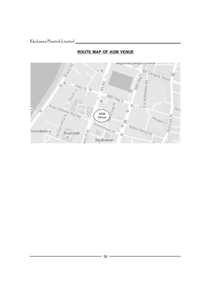

### **ROUTE MAP OF AGM VENUE**